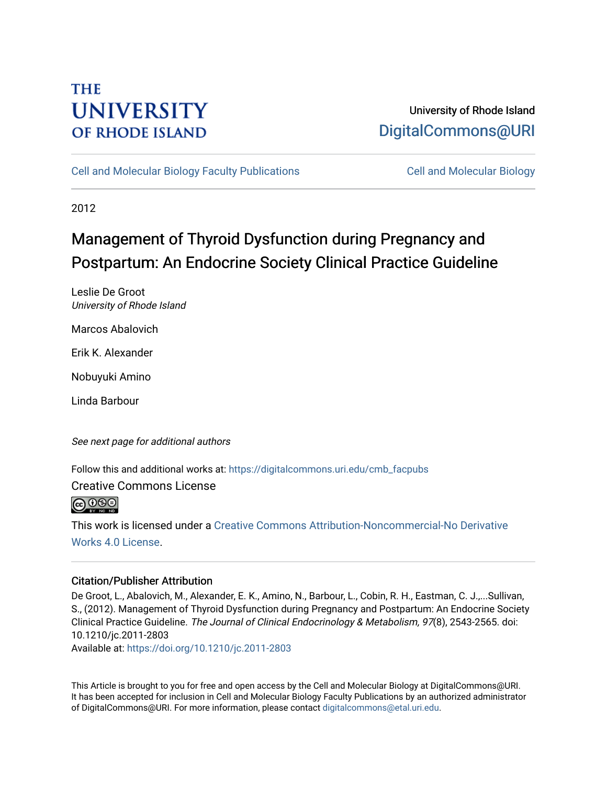# **THE UNIVERSITY OF RHODE ISLAND**

# University of Rhode Island [DigitalCommons@URI](https://digitalcommons.uri.edu/)

[Cell and Molecular Biology Faculty Publications](https://digitalcommons.uri.edu/cmb_facpubs) [Cell and Molecular Biology](https://digitalcommons.uri.edu/cmb) 

2012

# Management of Thyroid Dysfunction during Pregnancy and Postpartum: An Endocrine Society Clinical Practice Guideline

Leslie De Groot University of Rhode Island

Marcos Abalovich

Erik K. Alexander

Nobuyuki Amino

Linda Barbour

See next page for additional authors

Follow this and additional works at: [https://digitalcommons.uri.edu/cmb\\_facpubs](https://digitalcommons.uri.edu/cmb_facpubs?utm_source=digitalcommons.uri.edu%2Fcmb_facpubs%2F99&utm_medium=PDF&utm_campaign=PDFCoverPages) 

Creative Commons License

 $@0@0$ 

This work is licensed under a [Creative Commons Attribution-Noncommercial-No Derivative](https://creativecommons.org/licenses/by-nc-nd/4.0/)  [Works 4.0 License](https://creativecommons.org/licenses/by-nc-nd/4.0/).

# Citation/Publisher Attribution

De Groot, L., Abalovich, M., Alexander, E. K., Amino, N., Barbour, L., Cobin, R. H., Eastman, C. J.,...Sullivan, S., (2012). Management of Thyroid Dysfunction during Pregnancy and Postpartum: An Endocrine Society Clinical Practice Guideline. The Journal of Clinical Endocrinology & Metabolism, 97(8), 2543-2565. doi: 10.1210/jc.2011-2803

Available at:<https://doi.org/10.1210/jc.2011-2803>

This Article is brought to you for free and open access by the Cell and Molecular Biology at DigitalCommons@URI. It has been accepted for inclusion in Cell and Molecular Biology Faculty Publications by an authorized administrator of DigitalCommons@URI. For more information, please contact [digitalcommons@etal.uri.edu](mailto:digitalcommons@etal.uri.edu).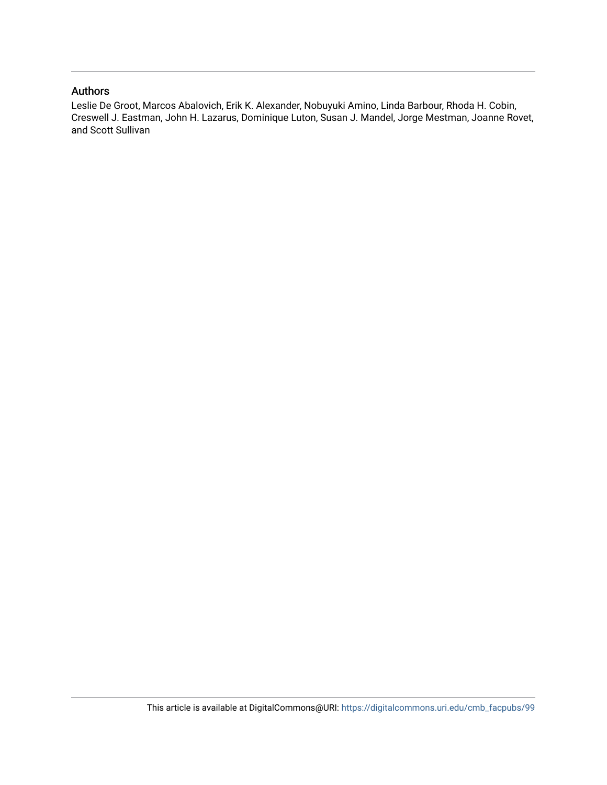# Authors

Leslie De Groot, Marcos Abalovich, Erik K. Alexander, Nobuyuki Amino, Linda Barbour, Rhoda H. Cobin, Creswell J. Eastman, John H. Lazarus, Dominique Luton, Susan J. Mandel, Jorge Mestman, Joanne Rovet, and Scott Sullivan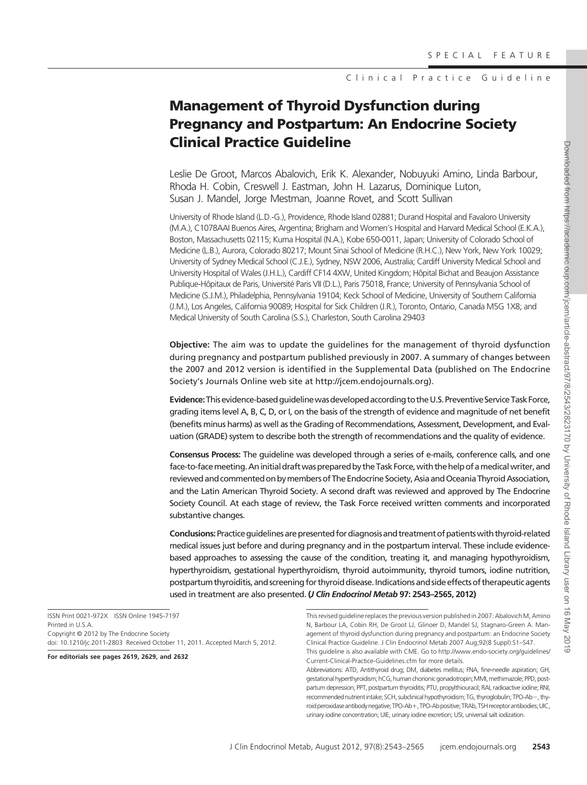# **Management of Thyroid Dysfunction during Pregnancy and Postpartum: An Endocrine Society Clinical Practice Guideline**

Leslie De Groot, Marcos Abalovich, Erik K. Alexander, Nobuyuki Amino, Linda Barbour, Rhoda H. Cobin, Creswell J. Eastman, John H. Lazarus, Dominique Luton, Susan J. Mandel, Jorge Mestman, Joanne Rovet, and Scott Sullivan

University of Rhode Island (L.D.-G.), Providence, Rhode Island 02881; Durand Hospital and Favaloro University (M.A.), C1078AAI Buenos Aires, Argentina; Brigham and Women's Hospital and Harvard Medical School (E.K.A.), Boston, Massachusetts 02115; Kuma Hospital (N.A.), Kobe 650-0011, Japan; University of Colorado School of Medicine (L.B.), Aurora, Colorado 80217; Mount Sinai School of Medicine (R.H.C.), New York, New York 10029; University of Sydney Medical School (C.J.E.), Sydney, NSW 2006, Australia; Cardiff University Medical School and University Hospital of Wales (J.H.L.), Cardiff CF14 4XW, United Kingdom; Hôpital Bichat and Beaujon Assistance Publique-Hôpitaux de Paris, Université Paris VII (D.L.), Paris 75018, France; University of Pennsylvania School of Medicine (S.J.M.), Philadelphia, Pennsylvania 19104; Keck School of Medicine, University of Southern California (J.M.), Los Angeles, California 90089; Hospital for Sick Children (J.R.), Toronto, Ontario, Canada M5G 1X8; and Medical University of South Carolina (S.S.), Charleston, South Carolina 29403

**Objective:** The aim was to update the guidelines for the management of thyroid dysfunction during pregnancy and postpartum published previously in 2007. A summary of changes between the 2007 and 2012 version is identified in the Supplemental Data (published on The Endocrine Society's Journals Online web site at http://jcem.endojournals.org).

**Evidence:**Thisevidence-basedguidelinewasdevelopedaccording to theU.S.Preventive ServiceTask Force, grading items level A, B, C, D, or I, on the basis of the strength of evidence and magnitude of net benefit (benefits minus harms) as well as the Grading of Recommendations, Assessment, Development, and Evaluation (GRADE) system to describe both the strength of recommendations and the quality of evidence.

**Consensus Process:** The guideline was developed through a series of e-mails, conference calls, and one face-to-face meeting. An initial draft was prepared by the Task Force, with the help of a medical writer, and reviewed and commented on by members of The Endocrine Society, Asia and Oceania Thyroid Association, and the Latin American Thyroid Society. A second draft was reviewed and approved by The Endocrine Society Council. At each stage of review, the Task Force received written comments and incorporated substantive changes.

**Conclusions:**Practiceguidelinesarepresented fordiagnosisand treatmentofpatientswith thyroid-related medical issues just before and during pregnancy and in the postpartum interval. These include evidencebased approaches to assessing the cause of the condition, treating it, and managing hypothyroidism, hyperthyroidism, gestational hyperthyroidism, thyroid autoimmunity, thyroid tumors, iodine nutrition, postpartum thyroiditis, and screening for thyroid disease. Indications and side effects of therapeutic agents used in treatment are also presented. **(***J Clin Endocrinol Metab* **97: 2543–2565, 2012)**

ISSN Print 0021-972X ISSN Online 1945-7197 Printed in U.S.A. Copyright © 2012 by The Endocrine Society doi: 10.1210/jc.2011-2803 Received October 11, 2011. Accepted March 5, 2012.

**For editorials see pages 2619, 2629, and 2632**

This revised guideline replaces the previous version published in 2007: Abalovich M, Amino N, Barbour LA, Cobin RH, De Groot LJ, Glinoer D, Mandel SJ, Stagnaro-Green A. Management of thyroid dysfunction during pregnancy and postpartum: an Endocrine Society Clinical Practice Guideline. J Clin Endocrinol Metab 2007 Aug;92(8 Suppl):S1–S47. This guideline is also available with CME. Go to [http://www.endo-society.org/guidelines/](http://www.endo-society.org/guidelines/Current-Clinical-Practice-Guidelines.cfm)

 $\vec{\circ}$ 

[Current-Clinical-Practice-Guidelines.cfm](http://www.endo-society.org/guidelines/Current-Clinical-Practice-Guidelines.cfm) for more details. Abbreviations: ATD, Antithyroid drug; DM, diabetes mellitus; FNA, fine-needle aspiration; GH, gestational hyperthyroidism; hCG, human chorionic gonadotropin;MMI,methimazole; PPD, postpartum depression; PPT, postpartum thyroiditis; PTU, propylthiouracil; RAI, radioactive iodine; RNI, recommended nutrient intake; SCH, subclinical hypothyroidism; TG, thyroglobulin; TPO-Ab-, thyroid peroxidase antibody negative; TPO-Ab + , TPO-Ab positive; TRAb, TSH receptor antibodies; UIC, urinary iodine concentration; UIE, urinary iodine excretion; USI, universal salt iodization.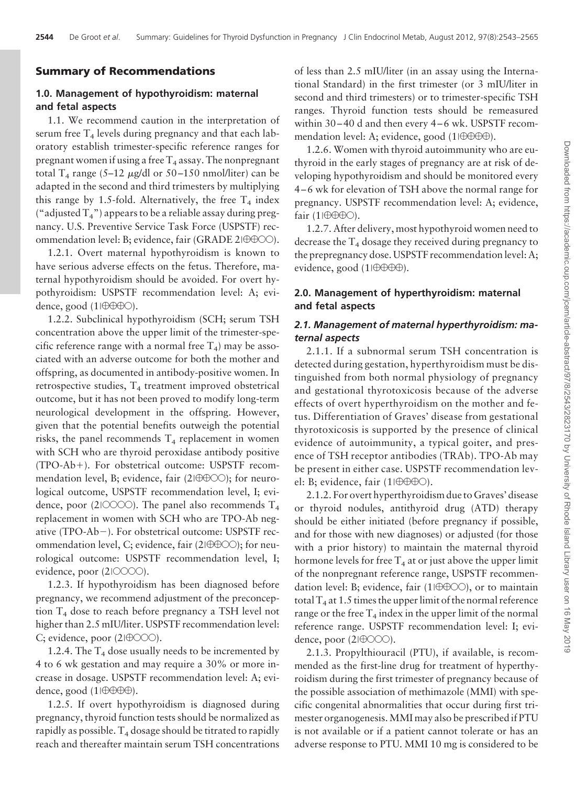# **Summary of Recommendations**

## **1.0. Management of hypothyroidism: maternal and fetal aspects**

1.1. We recommend caution in the interpretation of serum free  $T_4$  levels during pregnancy and that each laboratory establish trimester-specific reference ranges for pregnant women if using a free  $T_4$  assay. The nonpregnant total  $T_4$  range (5–12  $\mu$ g/dl or 50–150 nmol/liter) can be adapted in the second and third trimesters by multiplying this range by 1.5-fold. Alternatively, the free  $T_4$  index ("adjusted  $T_4$ ") appears to be a reliable assay during pregnancy. U.S. Preventive Service Task Force (USPSTF) recommendation level: B; evidence, fair (GRADE 2 $\oplus \oplus \odot$ ).

1.2.1. Overt maternal hypothyroidism is known to have serious adverse effects on the fetus. Therefore, maternal hypothyroidism should be avoided. For overt hypothyroidism: USPSTF recommendation level: A; evidence, good (1|0000).

1.2.2. Subclinical hypothyroidism (SCH; serum TSH concentration above the upper limit of the trimester-specific reference range with a normal free  $T_4$ ) may be associated with an adverse outcome for both the mother and offspring, as documented in antibody-positive women. In retrospective studies,  $T_4$  treatment improved obstetrical outcome, but it has not been proved to modify long-term neurological development in the offspring. However, given that the potential benefits outweigh the potential risks, the panel recommends  $T_4$  replacement in women with SCH who are thyroid peroxidase antibody positive (TPO-Ab-). For obstetrical outcome: USPSTF recommendation level, B; evidence, fair  $(2|\theta \theta \infty)$ ; for neurological outcome, USPSTF recommendation level, I; evidence, poor (2| $0000$ ). The panel also recommends  $T_4$ replacement in women with SCH who are TPO-Ab negative (TPO-Ab-). For obstetrical outcome: USPSTF recommendation level, C; evidence, fair  $(2|\theta\theta\theta\text{CO})$ ; for neurological outcome: USPSTF recommendation level, I; evidence, poor  $(210000)$ .

1.2.3. If hypothyroidism has been diagnosed before pregnancy, we recommend adjustment of the preconception  $T_4$  dose to reach before pregnancy a TSH level not higher than 2.5 mIU/liter. USPSTF recommendation level: C; evidence, poor  $(2|\oplus\odot\odot)$ .

1.2.4. The  $T_4$  dose usually needs to be incremented by 4 to 6 wk gestation and may require a 30% or more increase in dosage. USPSTF recommendation level: A; evidence, good (1|<del>OOO</del>).

1.2.5. If overt hypothyroidism is diagnosed during pregnancy, thyroid function tests should be normalized as rapidly as possible.  $T_4$  dosage should be titrated to rapidly reach and thereafter maintain serum TSH concentrations

of less than 2.5 mIU/liter (in an assay using the International Standard) in the first trimester (or 3 mIU/liter in second and third trimesters) or to trimester-specific TSH ranges. Thyroid function tests should be remeasured within 30–40 d and then every 4–6 wk. USPSTF recommendation level: A; evidence, good  $(1|\theta \theta \theta \theta)$ .

1.2.6. Women with thyroid autoimmunity who are euthyroid in the early stages of pregnancy are at risk of developing hypothyroidism and should be monitored every 4 – 6 wk for elevation of TSH above the normal range for pregnancy. USPSTF recommendation level: A; evidence, fair  $(1|\theta \theta \theta \theta)$ .

1.2.7. After delivery, most hypothyroid women need to decrease the  $T_4$  dosage they received during pregnancy to the prepregnancy dose. USPSTF recommendation level: A; evidence, good (1| $\oplus$  $\oplus$  $\oplus$ ).

# **2.0. Management of hyperthyroidism: maternal and fetal aspects**

## *2.1. Management of maternal hyperthyroidism: maternal aspects*

2.1.1. If a subnormal serum TSH concentration is detected during gestation, hyperthyroidism must be distinguished from both normal physiology of pregnancy and gestational thyrotoxicosis because of the adverse effects of overt hyperthyroidism on the mother and fetus. Differentiation of Graves' disease from gestational thyrotoxicosis is supported by the presence of clinical evidence of autoimmunity, a typical goiter, and presence of TSH receptor antibodies (TRAb). TPO-Ab may be present in either case. USPSTF recommendation level: B; evidence, fair (1|0000).

2.1.2. For overt hyperthyroidism due to Graves' disease or thyroid nodules, antithyroid drug (ATD) therapy should be either initiated (before pregnancy if possible, and for those with new diagnoses) or adjusted (for those with a prior history) to maintain the maternal thyroid hormone levels for free  $T_4$  at or just above the upper limit of the nonpregnant reference range, USPSTF recommendation level: B; evidence, fair  $(1|\oplus\oplus\bigcirc\bigcirc)$ , or to maintain total  $T_4$  at 1.5 times the upper limit of the normal reference range or the free  $T_4$  index in the upper limit of the normal reference range. USPSTF recommendation level: I; evidence, poor  $(2|\oplus\odot\odot)$ .

2.1.3. Propylthiouracil (PTU), if available, is recommended as the first-line drug for treatment of hyperthyroidism during the first trimester of pregnancy because of the possible association of methimazole (MMI) with specific congenital abnormalities that occur during first trimester organogenesis.MMI may also be prescribed if PTU is not available or if a patient cannot tolerate or has an adverse response to PTU. MMI 10 mg is considered to be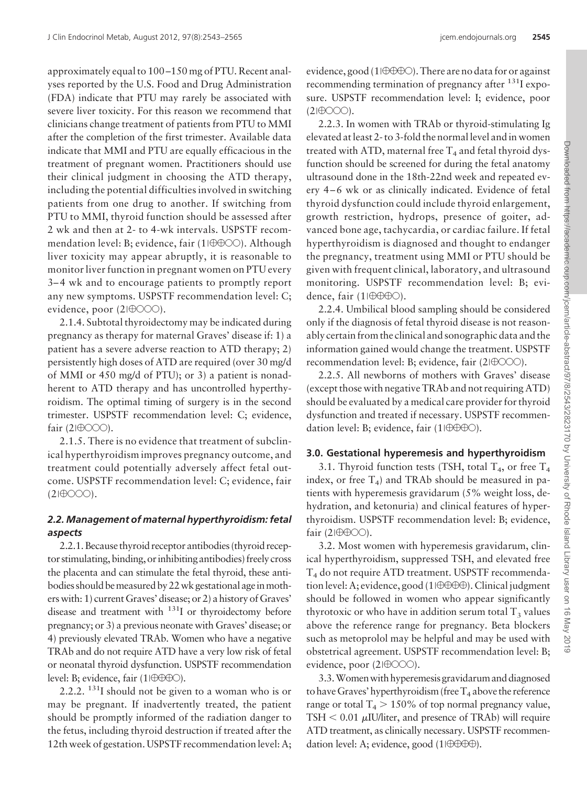approximately equal to 100 –150 mg of PTU. Recent analyses reported by the U.S. Food and Drug Administration (FDA) indicate that PTU may rarely be associated with severe liver toxicity. For this reason we recommend that clinicians change treatment of patients from PTU to MMI after the completion of the first trimester. Available data indicate that MMI and PTU are equally efficacious in the treatment of pregnant women. Practitioners should use their clinical judgment in choosing the ATD therapy, including the potential difficulties involved in switching patients from one drug to another. If switching from PTU to MMI, thyroid function should be assessed after 2 wk and then at 2- to 4-wk intervals. USPSTF recommendation level: B; evidence, fair (1 $\theta \theta \in \mathcal{O}$ ). Although liver toxicity may appear abruptly, it is reasonable to monitor liver function in pregnant women on PTU every 3– 4 wk and to encourage patients to promptly report any new symptoms. USPSTF recommendation level: C; evidence, poor  $(2|\oplus\odot\odot)$ .

2.1.4. Subtotal thyroidectomy may be indicated during pregnancy as therapy for maternal Graves' disease if: 1) a patient has a severe adverse reaction to ATD therapy; 2) persistently high doses of ATD are required (over 30 mg/d of MMI or 450 mg/d of PTU); or 3) a patient is nonadherent to ATD therapy and has uncontrolled hyperthyroidism. The optimal timing of surgery is in the second trimester. USPSTF recommendation level: C; evidence, fair (2QEEE).

2.1.5. There is no evidence that treatment of subclinical hyperthyroidism improves pregnancy outcome, and treatment could potentially adversely affect fetal outcome. USPSTF recommendation level: C; evidence, fair  $(2|\oplus$ OOO).

# *2.2. Management of maternal hyperthyroidism: fetal aspects*

2.2.1. Because thyroid receptor antibodies (thyroid receptor stimulating, binding, orinhibiting antibodies) freely cross the placenta and can stimulate the fetal thyroid, these antibodies should be measured by 22 wk gestational age in mothers with: 1) current Graves' disease; or 2) a history of Graves' disease and treatment with  $131$  or thyroidectomy before pregnancy; or 3) a previous neonate with Graves' disease; or 4) previously elevated TRAb. Women who have a negative TRAb and do not require ATD have a very low risk of fetal or neonatal thyroid dysfunction. USPSTF recommendation level: B; evidence, fair (1 $\Box$  $\Box$  $\Box$  $\Box$ ).

2.2.2.  $131$  should not be given to a woman who is or may be pregnant. If inadvertently treated, the patient should be promptly informed of the radiation danger to the fetus, including thyroid destruction if treated after the 12th week of gestation. USPSTF recommendation level: A; evidence, good (1 $\theta \theta \theta$ O). There are no data for or against recommending termination of pregnancy after  $^{131}$  exposure. USPSTF recommendation level: I; evidence, poor  $(2|\oplus$ OOO).

2.2.3. In women with TRAb or thyroid-stimulating Ig elevated at least 2- to 3-fold the normal level and in women treated with ATD, maternal free  $T_4$  and fetal thyroid dysfunction should be screened for during the fetal anatomy ultrasound done in the 18th-22nd week and repeated every 4-6 wk or as clinically indicated. Evidence of fetal thyroid dysfunction could include thyroid enlargement, growth restriction, hydrops, presence of goiter, advanced bone age, tachycardia, or cardiac failure. If fetal hyperthyroidism is diagnosed and thought to endanger the pregnancy, treatment using MMI or PTU should be given with frequent clinical, laboratory, and ultrasound monitoring. USPSTF recommendation level: B; evidence, fair (1| $\oplus$  $\oplus$  $\oplus$ ).

2.2.4. Umbilical blood sampling should be considered only if the diagnosis of fetal thyroid disease is not reasonably certain from the clinical and sonographic data and the information gained would change the treatment. USPSTF recommendation level: B; evidence, fair (2 $\theta$ OOO).

2.2.5. All newborns of mothers with Graves' disease (except those with negative TRAb and not requiring ATD) should be evaluated by a medical care provider for thyroid dysfunction and treated if necessary. USPSTF recommendation level: B; evidence, fair  $(1|\theta \theta \theta \theta)$ .

# **3.0. Gestational hyperemesis and hyperthyroidism**

3.1. Thyroid function tests (TSH, total  $T_4$ , or free  $T_4$ index, or free  $T_4$ ) and TRAb should be measured in patients with hyperemesis gravidarum (5% weight loss, dehydration, and ketonuria) and clinical features of hyperthyroidism. USPSTF recommendation level: B; evidence, fair  $(2|\theta\theta\theta\theta\phi)$ .

3.2. Most women with hyperemesis gravidarum, clinical hyperthyroidism, suppressed TSH, and elevated free  $T<sub>4</sub>$  do not require ATD treatment. USPSTF recommendation level: A; evidence, good (1 $\Box$  $\Box$  $\Box$ ). Clinical judgment should be followed in women who appear significantly thyrotoxic or who have in addition serum total  $T_3$  values above the reference range for pregnancy. Beta blockers such as metoprolol may be helpful and may be used with obstetrical agreement. USPSTF recommendation level: B; evidence, poor  $(2|\oplus OOO)$ .

3.3. Women with hyperemesis gravidarum and diagnosed to have Graves' hyperthyroidism (free  $T_4$  above the reference range or total  $T_4 > 150\%$  of top normal pregnancy value,  $TSH < 0.01 \mu$ IU/liter, and presence of TRAb) will require ATD treatment, as clinically necessary. USPSTF recommendation level: A; evidence, good (1|OOOO).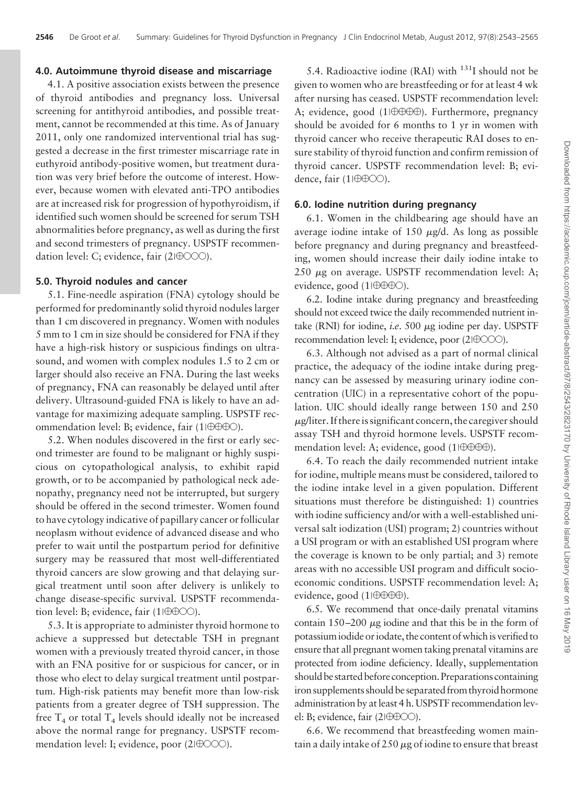## **4.0. Autoimmune thyroid disease and miscarriage**

4.1. A positive association exists between the presence of thyroid antibodies and pregnancy loss. Universal screening for antithyroid antibodies, and possible treatment, cannot be recommended at this time. As of January 2011, only one randomized interventional trial has suggested a decrease in the first trimester miscarriage rate in euthyroid antibody-positive women, but treatment duration was very brief before the outcome of interest. However, because women with elevated anti-TPO antibodies are at increased risk for progression of hypothyroidism, if identified such women should be screened for serum TSH abnormalities before pregnancy, as well as during the first and second trimesters of pregnancy. USPSTF recommendation level: C; evidence, fair  $(2I\oplus OOO)$ .

#### **5.0. Thyroid nodules and cancer**

5.1. Fine-needle aspiration (FNA) cytology should be performed for predominantly solid thyroid nodules larger than 1 cm discovered in pregnancy. Women with nodules 5 mm to 1 cm in size should be considered for FNA if they have a high-risk history or suspicious findings on ultrasound, and women with complex nodules 1.5 to 2 cm or larger should also receive an FNA. During the last weeks of pregnancy, FNA can reasonably be delayed until after delivery. Ultrasound-guided FNA is likely to have an advantage for maximizing adequate sampling. USPSTF recommendation level: B; evidence, fair (1 $\oplus$  $\oplus$  $\oplus$ ).

5.2. When nodules discovered in the first or early second trimester are found to be malignant or highly suspicious on cytopathological analysis, to exhibit rapid growth, or to be accompanied by pathological neck adenopathy, pregnancy need not be interrupted, but surgery should be offered in the second trimester. Women found to have cytology indicative of papillary cancer or follicular neoplasm without evidence of advanced disease and who prefer to wait until the postpartum period for definitive surgery may be reassured that most well-differentiated thyroid cancers are slow growing and that delaying surgical treatment until soon after delivery is unlikely to change disease-specific survival. USPSTF recommendation level: B; evidence, fair  $(1|\theta\theta\theta\theta\phi)$ .

5.3. It is appropriate to administer thyroid hormone to achieve a suppressed but detectable TSH in pregnant women with a previously treated thyroid cancer, in those with an FNA positive for or suspicious for cancer, or in those who elect to delay surgical treatment until postpartum. High-risk patients may benefit more than low-risk patients from a greater degree of TSH suppression. The free  $T_4$  or total  $T_4$  levels should ideally not be increased above the normal range for pregnancy. USPSTF recommendation level: I; evidence, poor  $(2|\oplus OOO)$ .

5.4. Radioactive iodine (RAI) with  $^{131}$ I should not be given to women who are breastfeeding or for at least 4 wk after nursing has ceased. USPSTF recommendation level: A; evidence, good (1<sup>|</sup> $\oplus$  $\oplus$  $\oplus$ ). Furthermore, pregnancy should be avoided for 6 months to 1 yr in women with thyroid cancer who receive therapeutic RAI doses to ensure stability of thyroid function and confirm remission of thyroid cancer. USPSTF recommendation level: B; evidence, fair (1 $\theta \theta \theta$ OO).

#### **6.0. Iodine nutrition during pregnancy**

6.1. Women in the childbearing age should have an average iodine intake of 150  $\mu$ g/d. As long as possible before pregnancy and during pregnancy and breastfeeding, women should increase their daily iodine intake to 250  $\mu$ g on average. USPSTF recommendation level: A; evidence, good (1| $\oplus \oplus \oplus \odot$ ).

6.2. Iodine intake during pregnancy and breastfeeding should not exceed twice the daily recommended nutrient intake (RNI) for iodine, *i.e.* 500  $\mu$ g iodine per day. USPSTF recommendation level: I; evidence, poor  $(2|\oplus\!\!\infty\!\!\infty)$ .

6.3. Although not advised as a part of normal clinical practice, the adequacy of the iodine intake during pregnancy can be assessed by measuring urinary iodine concentration (UIC) in a representative cohort of the population. UIC should ideally range between 150 and 250 g/liter. If there is significant concern, the caregiver should assay TSH and thyroid hormone levels. USPSTF recommendation level: A; evidence, good (1|OOOO).

6.4. To reach the daily recommended nutrient intake for iodine, multiple means must be considered, tailored to the iodine intake level in a given population. Different situations must therefore be distinguished: 1) countries with iodine sufficiency and/or with a well-established universal salt iodization (USI) program; 2) countries without a USI program or with an established USI program where the coverage is known to be only partial; and 3) remote areas with no accessible USI program and difficult socioeconomic conditions. USPSTF recommendation level: A; evidence, good  $(1|\theta \theta \theta \theta)$ .

6.5. We recommend that once-daily prenatal vitamins contain  $150 - 200 \mu g$  iodine and that this be in the form of potassium iodide or iodate, the content of which is verified to ensure that all pregnant women taking prenatal vitamins are protected from iodine deficiency. Ideally, supplementation should be started before conception. Preparations containing iron supplements should be separated from thyroid hormone administration by at least 4 h. USPSTF recommendation level: B; evidence, fair  $(2|\theta \theta \infty)$ .

6.6. We recommend that breastfeeding women maintain a daily intake of  $250 \mu$ g of iodine to ensure that breast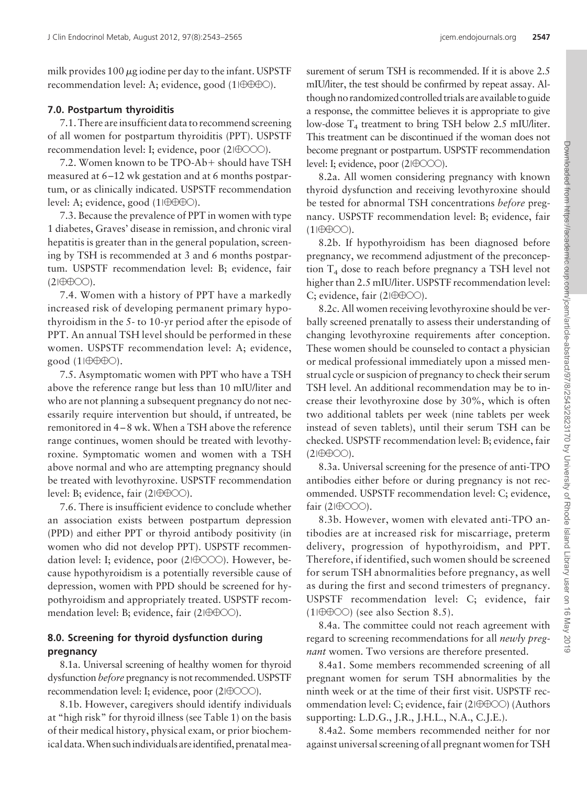milk provides  $100 \mu$ g iodine per day to the infant. USPSTF recommendation level: A; evidence, good (1 $\theta \theta \theta \theta$ ).

## **7.0. Postpartum thyroiditis**

7.1. There are insufficient data to recommend screening of all women for postpartum thyroiditis (PPT). USPSTF recommendation level: I; evidence, poor (2| $\oplus$ OOO).

7.2. Women known to be TPO-Ab+ should have TSH measured at 6 –12 wk gestation and at 6 months postpartum, or as clinically indicated. USPSTF recommendation level: A; evidence, good  $(1|\oplus\oplus\oplus\odot)$ .

7.3. Because the prevalence of PPT in women with type 1 diabetes, Graves' disease in remission, and chronic viral hepatitis is greater than in the general population, screening by TSH is recommended at 3 and 6 months postpartum. USPSTF recommendation level: B; evidence, fair  $(2|\oplus\oplus\odot\odot)$ .

7.4. Women with a history of PPT have a markedly increased risk of developing permanent primary hypothyroidism in the 5- to 10-yr period after the episode of PPT. An annual TSH level should be performed in these women. USPSTF recommendation level: A; evidence, good (1 $\theta \theta \theta \theta$ ).

7.5. Asymptomatic women with PPT who have a TSH above the reference range but less than 10 mIU/liter and who are not planning a subsequent pregnancy do not necessarily require intervention but should, if untreated, be remonitored in 4 – 8 wk. When a TSH above the reference range continues, women should be treated with levothyroxine. Symptomatic women and women with a TSH above normal and who are attempting pregnancy should be treated with levothyroxine. USPSTF recommendation level: B; evidence, fair  $(2|\theta\theta\theta\text{OO})$ .

7.6. There is insufficient evidence to conclude whether an association exists between postpartum depression (PPD) and either PPT or thyroid antibody positivity (in women who did not develop PPT). USPSTF recommendation level: I; evidence, poor  $(2|\oplus\bigcirc\circ\bigcirc)$ . However, because hypothyroidism is a potentially reversible cause of depression, women with PPD should be screened for hypothyroidism and appropriately treated. USPSTF recommendation level: B; evidence, fair (2 $\oplus \oplus \odot$ ).

# **8.0. Screening for thyroid dysfunction during pregnancy**

8.1a. Universal screening of healthy women for thyroid dysfunction *before* pregnancy is not recommended. USPSTF recommendation level: I; evidence, poor  $(2\vert \oplus \odot \odot \odot)$ .

8.1b. However, caregivers should identify individuals at "high risk" for thyroid illness (see Table 1) on the basis of their medical history, physical exam, or prior biochemical data. When such individuals are identified, prenatal measurement of serum TSH is recommended. If it is above 2.5 mIU/liter, the test should be confirmed by repeat assay. Although no randomized controlled trials are available to guide a response, the committee believes it is appropriate to give low-dose  $T_4$  treatment to bring TSH below 2.5 mIU/liter. This treatment can be discontinued if the woman does not become pregnant or postpartum. USPSTF recommendation level: I; evidence, poor  $(2|\oplus OOO)$ .

8.2a. All women considering pregnancy with known thyroid dysfunction and receiving levothyroxine should be tested for abnormal TSH concentrations *before* pregnancy. USPSTF recommendation level: B; evidence, fair  $(1|\oplus\oplus\odot\odot)$ .

8.2b. If hypothyroidism has been diagnosed before pregnancy, we recommend adjustment of the preconception  $T_4$  dose to reach before pregnancy a TSH level not higher than 2.5 mIU/liter. USPSTF recommendation level: C; evidence, fair  $(2|\theta\theta\theta\theta\phi)$ .

8.2c. All women receiving levothyroxine should be verbally screened prenatally to assess their understanding of changing levothyroxine requirements after conception. These women should be counseled to contact a physician or medical professional immediately upon a missed menstrual cycle or suspicion of pregnancy to check their serum TSH level. An additional recommendation may be to increase their levothyroxine dose by 30%, which is often two additional tablets per week (nine tablets per week instead of seven tablets), until their serum TSH can be checked. USPSTF recommendation level: B; evidence, fair  $(2|\oplus\oplus\odot).$ 

8.3a. Universal screening for the presence of anti-TPO antibodies either before or during pregnancy is not recommended. USPSTF recommendation level: C; evidence, fair  $(2|\oplus\!\circledcirc\!\circ\!\circ).$ 

8.3b. However, women with elevated anti-TPO antibodies are at increased risk for miscarriage, preterm delivery, progression of hypothyroidism, and PPT. Therefore, if identified, such women should be screened for serum TSH abnormalities before pregnancy, as well as during the first and second trimesters of pregnancy. USPSTF recommendation level: C; evidence, fair (1 $\oplus \oplus \odot$ ) (see also Section 8.5).

8.4a. The committee could not reach agreement with regard to screening recommendations for all *newly pregnant* women. Two versions are therefore presented.

8.4a1. Some members recommended screening of all pregnant women for serum TSH abnormalities by the ninth week or at the time of their first visit. USPSTF recommendation level: C; evidence, fair (2|OOO) (Authors supporting: L.D.G., J.R., J.H.L., N.A., C.J.E.).

8.4a2. Some members recommended neither for nor against universal screening of all pregnant women for TSH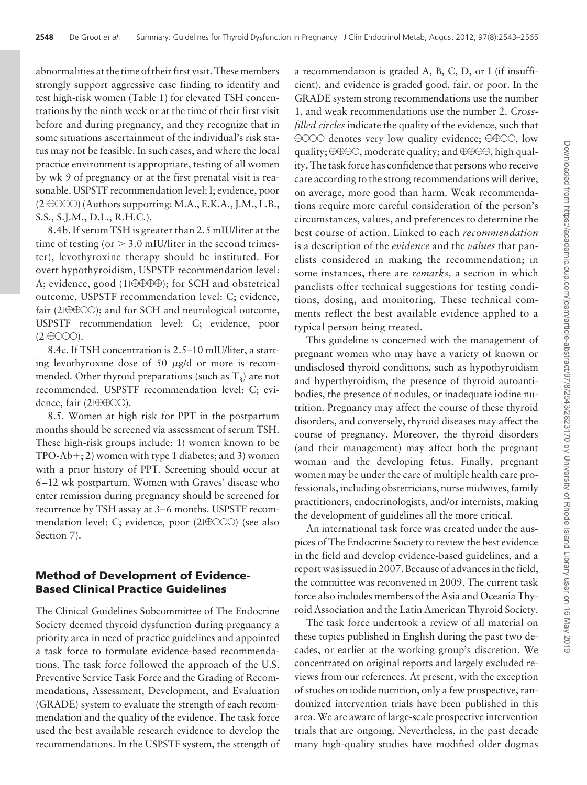abnormalities at the time of their first visit. These members strongly support aggressive case finding to identify and test high-risk women (Table 1) for elevated TSH concentrations by the ninth week or at the time of their first visit before and during pregnancy, and they recognize that in some situations ascertainment of the individual's risk status may not be feasible. In such cases, and where the local practice environment is appropriate, testing of all women by wk 9 of pregnancy or at the first prenatal visit is reasonable. USPSTF recommendation level: I; evidence, poor  $(2|\bigoplus$ OOO) (Authors supporting: M.A., E.K.A., J.M., L.B., S.S., S.J.M., D.L., R.H.C.).

8.4b. If serum TSH is greater than 2.5 mIU/liter at the time of testing (or  $> 3.0$  mIU/liter in the second trimester), levothyroxine therapy should be instituted. For overt hypothyroidism, USPSTF recommendation level: A; evidence, good  $(1|\oplus \oplus \oplus \oplus)$ ; for SCH and obstetrical outcome, USPSTF recommendation level: C; evidence, fair (2 $\Theta$  $\Theta$  $\odot$ ); and for SCH and neurological outcome, USPSTF recommendation level: C; evidence, poor  $(2|\oplus$ OOO).

8.4c. If TSH concentration is 2.5–10 mIU/liter, a starting levothyroxine dose of 50  $\mu$ g/d or more is recommended. Other thyroid preparations (such as  $T_3$ ) are not recommended. USPSTF recommendation level: C; evidence, fair (2|<del>OO</del>OO).

8.5. Women at high risk for PPT in the postpartum months should be screened via assessment of serum TSH. These high-risk groups include: 1) women known to be TPO-Ab-; 2) women with type 1 diabetes; and 3) women with a prior history of PPT. Screening should occur at 6 –12 wk postpartum. Women with Graves' disease who enter remission during pregnancy should be screened for recurrence by TSH assay at 3–6 months. USPSTF recommendation level: C; evidence, poor  $(2|\oplus OOO)$  (see also Section 7).

# **Method of Development of Evidence-Based Clinical Practice Guidelines**

The Clinical Guidelines Subcommittee of The Endocrine Society deemed thyroid dysfunction during pregnancy a priority area in need of practice guidelines and appointed a task force to formulate evidence-based recommendations. The task force followed the approach of the U.S. Preventive Service Task Force and the Grading of Recommendations, Assessment, Development, and Evaluation (GRADE) system to evaluate the strength of each recommendation and the quality of the evidence. The task force used the best available research evidence to develop the recommendations. In the USPSTF system, the strength of

a recommendation is graded A, B, C, D, or I (if insufficient), and evidence is graded good, fair, or poor. In the GRADE system strong recommendations use the number 1, and weak recommendations use the number 2. *Crossfilled circles* indicate the quality of the evidence, such that  $\Theta$ OOO denotes very low quality evidence;  $\Theta$  $\Theta$ OO, low quality;  $\Theta$  $\Theta$  $\Theta$ , moderate quality; and  $\Theta$  $\Theta$  $\Theta$ , high quality. The task force has confidence that persons who receive care according to the strong recommendations will derive, on average, more good than harm. Weak recommendations require more careful consideration of the person's circumstances, values, and preferences to determine the best course of action. Linked to each *recommendation* is a description of the *evidence* and the *values* that panelists considered in making the recommendation; in some instances, there are *remarks,* a section in which panelists offer technical suggestions for testing conditions, dosing, and monitoring. These technical comments reflect the best available evidence applied to a typical person being treated.

This guideline is concerned with the management of pregnant women who may have a variety of known or undisclosed thyroid conditions, such as hypothyroidism and hyperthyroidism, the presence of thyroid autoantibodies, the presence of nodules, or inadequate iodine nutrition. Pregnancy may affect the course of these thyroid disorders, and conversely, thyroid diseases may affect the course of pregnancy. Moreover, the thyroid disorders (and their management) may affect both the pregnant woman and the developing fetus. Finally, pregnant women may be under the care of multiple health care professionals, including obstetricians, nurse midwives, family practitioners, endocrinologists, and/or internists, making the development of guidelines all the more critical.

An international task force was created under the auspices of The Endocrine Society to review the best evidence in the field and develop evidence-based guidelines, and a report was issued in 2007. Because of advances in the field, the committee was reconvened in 2009. The current task force also includes members of the Asia and Oceania Thyroid Association and the Latin American Thyroid Society.

The task force undertook a review of all material on these topics published in English during the past two decades, or earlier at the working group's discretion. We concentrated on original reports and largely excluded reviews from our references. At present, with the exception of studies on iodide nutrition, only a few prospective, randomized intervention trials have been published in this area. We are aware of large-scale prospective intervention trials that are ongoing. Nevertheless, in the past decade many high-quality studies have modified older dogmas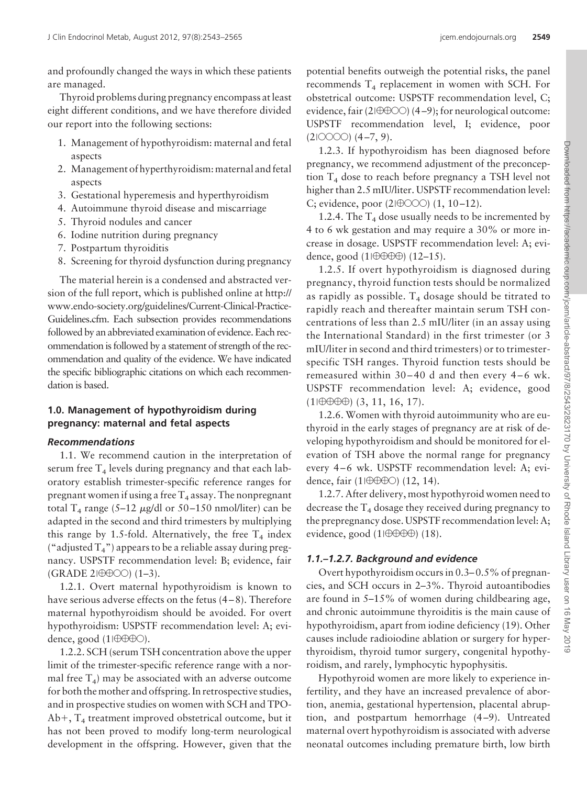and profoundly changed the ways in which these patients are managed.

Thyroid problems during pregnancy encompass at least eight different conditions, and we have therefore divided our report into the following sections:

- 1. Management of hypothyroidism: maternal and fetal aspects
- 2. Management of hyperthyroidism: maternal and fetal aspects
- 3. Gestational hyperemesis and hyperthyroidism
- 4. Autoimmune thyroid disease and miscarriage
- 5. Thyroid nodules and cancer
- 6. Iodine nutrition during pregnancy
- 7. Postpartum thyroiditis
- 8. Screening for thyroid dysfunction during pregnancy

The material herein is a condensed and abstracted version of the full report, which is published online at [http://](http://www.endo-society.org/guidelines/Current-Clinical-Practice-Guidelines.cfm) [www.endo-society.org/guidelines/Current-Clinical-Practice-](http://www.endo-society.org/guidelines/Current-Clinical-Practice-Guidelines.cfm)[Guidelines.cfm.](http://www.endo-society.org/guidelines/Current-Clinical-Practice-Guidelines.cfm) Each subsection provides recommendations followed by an abbreviated examination of evidence. Each recommendation is followed by a statement of strength of the recommendation and quality of the evidence. We have indicated the specific bibliographic citations on which each recommendation is based.

## **1.0. Management of hypothyroidism during pregnancy: maternal and fetal aspects**

## *Recommendations*

1.1. We recommend caution in the interpretation of serum free  $T_4$  levels during pregnancy and that each laboratory establish trimester-specific reference ranges for pregnant women if using a free  $T_4$  assay. The nonpregnant total  $T_4$  range (5–12  $\mu$ g/dl or 50–150 nmol/liter) can be adapted in the second and third trimesters by multiplying this range by 1.5-fold. Alternatively, the free  $T_4$  index ("adjusted  $T_4$ ") appears to be a reliable assay during pregnancy. USPSTF recommendation level: B; evidence, fair  $(GRADE 2|\oplus \oplus \odot \odot)$  (1–3).

1.2.1. Overt maternal hypothyroidism is known to have serious adverse effects on the fetus  $(4-8)$ . Therefore maternal hypothyroidism should be avoided. For overt hypothyroidism: USPSTF recommendation level: A; evidence, good (1| $\oplus \oplus \oplus \odot$ ).

1.2.2. SCH (serum TSH concentration above the upper limit of the trimester-specific reference range with a normal free  $T_4$ ) may be associated with an adverse outcome for both the mother and offspring. In retrospective studies, and in prospective studies on women with SCH and TPO-Ab+, T<sub>4</sub> treatment improved obstetrical outcome, but it has not been proved to modify long-term neurological development in the offspring. However, given that the potential benefits outweigh the potential risks, the panel recommends  $T_4$  replacement in women with SCH. For obstetrical outcome: USPSTF recommendation level, C; evidence, fair  $(2|\oplus \oplus \odot \odot) (4-9)$ ; for neurological outcome: USPSTF recommendation level, I; evidence, poor  $(210000)$   $(4-7, 9)$ .

1.2.3. If hypothyroidism has been diagnosed before pregnancy, we recommend adjustment of the preconception  $T_4$  dose to reach before pregnancy a TSH level not higher than 2.5 mIU/liter. USPSTF recommendation level: C; evidence, poor  $(2|\oplus \text{OOO})$   $(1, 10-12)$ .

1.2.4. The  $T_4$  dose usually needs to be incremented by 4 to 6 wk gestation and may require a 30% or more increase in dosage. USPSTF recommendation level: A; evidence, good (1| $\oplus \oplus \oplus$ ) (12–15).

1.2.5. If overt hypothyroidism is diagnosed during pregnancy, thyroid function tests should be normalized as rapidly as possible.  $T_4$  dosage should be titrated to rapidly reach and thereafter maintain serum TSH concentrations of less than 2.5 mIU/liter (in an assay using the International Standard) in the first trimester (or 3 mIU/liter in second and third trimesters) or to trimesterspecific TSH ranges. Thyroid function tests should be remeasured within  $30 - 40$  d and then every  $4 - 6$  wk. USPSTF recommendation level: A; evidence, good  $(1|\oplus\oplus\oplus)$   $(3, 11, 16, 17)$ .

1.2.6. Women with thyroid autoimmunity who are euthyroid in the early stages of pregnancy are at risk of developing hypothyroidism and should be monitored for elevation of TSH above the normal range for pregnancy every 4-6 wk. USPSTF recommendation level: A; evidence, fair (1|0000) (12, 14).

1.2.7. After delivery, most hypothyroid women need to decrease the  $T_4$  dosage they received during pregnancy to the prepregnancy dose. USPSTF recommendation level: A; evidence, good (1 $\theta \theta \theta \theta$ ) (18).

# *1.1.–1.2.7. Background and evidence*

Overt hypothyroidism occurs in 0.3– 0.5% of pregnancies, and SCH occurs in 2–3%. Thyroid autoantibodies are found in 5–15% of women during childbearing age, and chronic autoimmune thyroiditis is the main cause of hypothyroidism, apart from iodine deficiency (19). Other causes include radioiodine ablation or surgery for hyperthyroidism, thyroid tumor surgery, congenital hypothyroidism, and rarely, lymphocytic hypophysitis.

Hypothyroid women are more likely to experience infertility, and they have an increased prevalence of abortion, anemia, gestational hypertension, placental abruption, and postpartum hemorrhage (4 –9). Untreated maternal overt hypothyroidism is associated with adverse neonatal outcomes including premature birth, low birth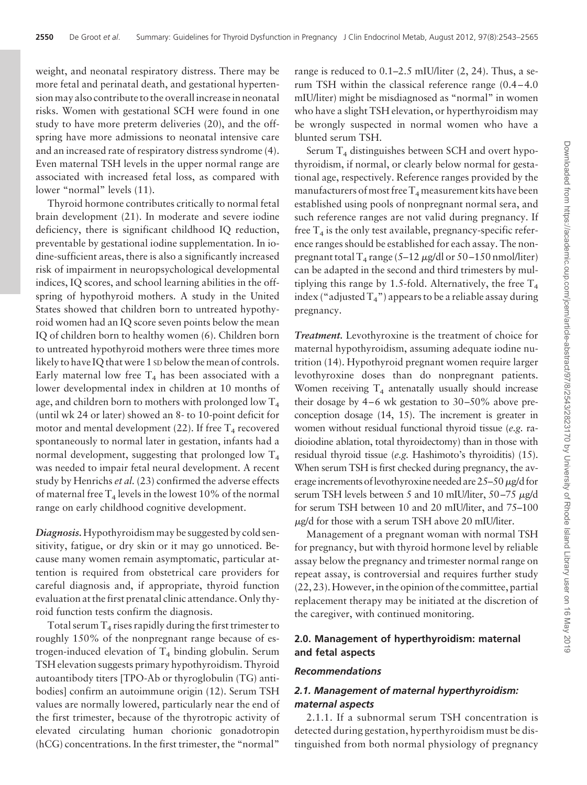weight, and neonatal respiratory distress. There may be more fetal and perinatal death, and gestational hypertension may also contribute to the overall increase in neonatal risks. Women with gestational SCH were found in one study to have more preterm deliveries (20), and the offspring have more admissions to neonatal intensive care and an increased rate of respiratory distress syndrome (4). Even maternal TSH levels in the upper normal range are associated with increased fetal loss, as compared with lower "normal" levels  $(11)$ .

Thyroid hormone contributes critically to normal fetal brain development (21). In moderate and severe iodine deficiency, there is significant childhood IQ reduction, preventable by gestational iodine supplementation. In iodine-sufficient areas, there is also a significantly increased risk of impairment in neuropsychological developmental indices, IQ scores, and school learning abilities in the offspring of hypothyroid mothers. A study in the United States showed that children born to untreated hypothyroid women had an IQ score seven points below the mean IQ of children born to healthy women (6). Children born to untreated hypothyroid mothers were three times more likely to have IQ that were 1 SD below the mean of controls. Early maternal low free  $T_4$  has been associated with a lower developmental index in children at 10 months of age, and children born to mothers with prolonged low  $T_4$ (until wk 24 or later) showed an 8- to 10-point deficit for motor and mental development (22). If free  $T_4$  recovered spontaneously to normal later in gestation, infants had a normal development, suggesting that prolonged low  $T_4$ was needed to impair fetal neural development. A recent study by Henrichs *et al.* (23) confirmed the adverse effects of maternal free  $T_4$  levels in the lowest 10% of the normal range on early childhood cognitive development.

*Diagnosis.* Hypothyroidism may be suggested by cold sensitivity, fatigue, or dry skin or it may go unnoticed. Because many women remain asymptomatic, particular attention is required from obstetrical care providers for careful diagnosis and, if appropriate, thyroid function evaluation at the first prenatal clinic attendance. Only thyroid function tests confirm the diagnosis.

Total serum  $T_4$  rises rapidly during the first trimester to roughly 150% of the nonpregnant range because of estrogen-induced elevation of  $T_4$  binding globulin. Serum TSH elevation suggests primary hypothyroidism. Thyroid autoantibody titers [TPO-Ab or thyroglobulin (TG) antibodies] confirm an autoimmune origin (12). Serum TSH values are normally lowered, particularly near the end of the first trimester, because of the thyrotropic activity of elevated circulating human chorionic gonadotropin (hCG) concentrations. In the first trimester, the "normal"

range is reduced to 0.1–2.5 mIU/liter (2, 24). Thus, a serum TSH within the classical reference range (0.4 – 4.0 mIU/liter) might be misdiagnosed as "normal" in women who have a slight TSH elevation, or hyperthyroidism may be wrongly suspected in normal women who have a blunted serum TSH.

Serum  $T_4$  distinguishes between SCH and overt hypothyroidism, if normal, or clearly below normal for gestational age, respectively. Reference ranges provided by the manufacturers of most free  $T_4$  measurement kits have been established using pools of nonpregnant normal sera, and such reference ranges are not valid during pregnancy. If free  $T_4$  is the only test available, pregnancy-specific reference ranges should be established for each assay. The nonpregnant total  $T_4$  range (5–12  $\mu$ g/dl or 50–150 nmol/liter) can be adapted in the second and third trimesters by multiplying this range by 1.5-fold. Alternatively, the free  $T_4$ index ("adjusted  $T_4$ ") appears to be a reliable assay during pregnancy.

*Treatment.* Levothyroxine is the treatment of choice for maternal hypothyroidism, assuming adequate iodine nutrition (14). Hypothyroid pregnant women require larger levothyroxine doses than do nonpregnant patients. Women receiving  $T_4$  antenatally usually should increase their dosage by  $4-6$  wk gestation to  $30-50\%$  above preconception dosage (14, 15). The increment is greater in women without residual functional thyroid tissue (*e.g.* radioiodine ablation, total thyroidectomy) than in those with residual thyroid tissue (*e.g.* Hashimoto's thyroiditis) (15). When serum TSH is first checked during pregnancy, the average increments of levothyroxine needed are  $25-50 \mu g/d$  for serum TSH levels between 5 and 10 mIU/liter,  $50-75 \mu g/d$ for serum TSH between 10 and 20 mIU/liter, and 75–100  $\mu$ g/d for those with a serum TSH above 20 mIU/liter.

Management of a pregnant woman with normal TSH for pregnancy, but with thyroid hormone level by reliable assay below the pregnancy and trimester normal range on repeat assay, is controversial and requires further study (22, 23). However, in the opinion of the committee, partial replacement therapy may be initiated at the discretion of the caregiver, with continued monitoring.

# **2.0. Management of hyperthyroidism: maternal and fetal aspects**

#### *Recommendations*

## *2.1. Management of maternal hyperthyroidism: maternal aspects*

2.1.1. If a subnormal serum TSH concentration is detected during gestation, hyperthyroidism must be distinguished from both normal physiology of pregnancy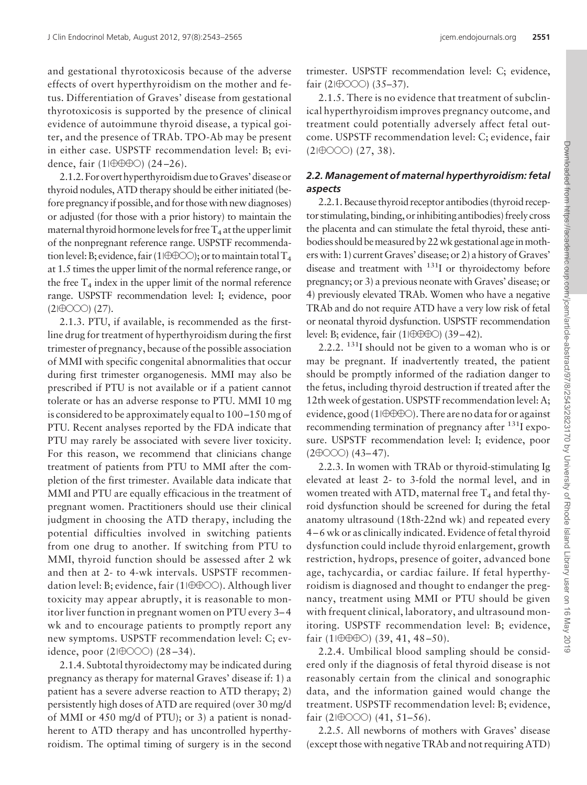and gestational thyrotoxicosis because of the adverse effects of overt hyperthyroidism on the mother and fetus. Differentiation of Graves' disease from gestational thyrotoxicosis is supported by the presence of clinical evidence of autoimmune thyroid disease, a typical goiter, and the presence of TRAb. TPO-Ab may be present in either case. USPSTF recommendation level: B; evidence, fair (1 $\Box$  $\Box$  $\Box$  $\Box$  $(24-26)$ .

2.1.2. For overt hyperthyroidism due to Graves' disease or thyroid nodules, ATD therapy should be either initiated (before pregnancyif possible, and for those with new diagnoses) or adjusted (for those with a prior history) to maintain the maternal thyroid hormone levels for free  $T<sub>4</sub>$  at the upper limit of the nonpregnant reference range. USPSTF recommendation level: B; evidence, fair (1 $\oplus$  $\oplus$  $\infty$ ); or to maintain total T<sub>4</sub> at 1.5 times the upper limit of the normal reference range, or the free  $T_4$  index in the upper limit of the normal reference range. USPSTF recommendation level: I; evidence, poor  $(2|\oplus$ OOO $)(27)$ .

2.1.3. PTU, if available, is recommended as the firstline drug for treatment of hyperthyroidism during the first trimester of pregnancy, because of the possible association of MMI with specific congenital abnormalities that occur during first trimester organogenesis. MMI may also be prescribed if PTU is not available or if a patient cannot tolerate or has an adverse response to PTU. MMI 10 mg is considered to be approximately equal to 100 –150 mg of PTU. Recent analyses reported by the FDA indicate that PTU may rarely be associated with severe liver toxicity. For this reason, we recommend that clinicians change treatment of patients from PTU to MMI after the completion of the first trimester. Available data indicate that MMI and PTU are equally efficacious in the treatment of pregnant women. Practitioners should use their clinical judgment in choosing the ATD therapy, including the potential difficulties involved in switching patients from one drug to another. If switching from PTU to MMI, thyroid function should be assessed after 2 wk and then at 2- to 4-wk intervals. USPSTF recommendation level: B; evidence, fair (1 $\theta \theta \theta$ OO). Although liver toxicity may appear abruptly, it is reasonable to monitor liver function in pregnant women on PTU every 3– 4 wk and to encourage patients to promptly report any new symptoms. USPSTF recommendation level: C; evidence, poor  $(2|\oplus \odot \odot)$   $(28-34)$ .

2.1.4. Subtotal thyroidectomy may be indicated during pregnancy as therapy for maternal Graves' disease if: 1) a patient has a severe adverse reaction to ATD therapy; 2) persistently high doses of ATD are required (over 30 mg/d of MMI or 450 mg/d of PTU); or 3) a patient is nonadherent to ATD therapy and has uncontrolled hyperthyroidism. The optimal timing of surgery is in the second trimester. USPSTF recommendation level: C; evidence, fair  $(2|\oplus \odot \odot \odot) (35-37)$ .

2.1.5. There is no evidence that treatment of subclinical hyperthyroidism improves pregnancy outcome, and treatment could potentially adversely affect fetal outcome. USPSTF recommendation level: C; evidence, fair  $(2|\oplus$ OOO $)$   $(27, 38)$ .

# *2.2. Management of maternal hyperthyroidism: fetal aspects*

2.2.1. Because thyroid receptor antibodies (thyroid receptor stimulating, binding, orinhibiting antibodies) freely cross the placenta and can stimulate the fetal thyroid, these antibodies should be measured by 22 wk gestational age in mothers with: 1) current Graves' disease; or 2) a history of Graves' disease and treatment with  $131$  or thyroidectomy before pregnancy; or 3) a previous neonate with Graves' disease; or 4) previously elevated TRAb. Women who have a negative TRAb and do not require ATD have a very low risk of fetal or neonatal thyroid dysfunction. USPSTF recommendation level: B; evidence, fair  $(1|\oplus\oplus\oplus\odot)$   $(39-42)$ .

2.2.2.  $131$  should not be given to a woman who is or may be pregnant. If inadvertently treated, the patient should be promptly informed of the radiation danger to the fetus, including thyroid destruction if treated after the 12th week of gestation. USPSTF recommendation level: A; evidence, good (1 $\theta \theta \theta$ O). There are no data for or against recommending termination of pregnancy after  $^{131}$  exposure. USPSTF recommendation level: I; evidence, poor  $(2\oplus$ OOO $)$  $(43-47)$ .

2.2.3. In women with TRAb or thyroid-stimulating Ig elevated at least 2- to 3-fold the normal level, and in women treated with ATD, maternal free  $T_4$  and fetal thyroid dysfunction should be screened for during the fetal anatomy ultrasound (18th-22nd wk) and repeated every 4 – 6 wk or as clinically indicated. Evidence of fetal thyroid dysfunction could include thyroid enlargement, growth restriction, hydrops, presence of goiter, advanced bone age, tachycardia, or cardiac failure. If fetal hyperthyroidism is diagnosed and thought to endanger the pregnancy, treatment using MMI or PTU should be given with frequent clinical, laboratory, and ultrasound monitoring. USPSTF recommendation level: B; evidence, fair (1 $\theta \theta \theta$ O) (39, 41, 48-50).

2.2.4. Umbilical blood sampling should be considered only if the diagnosis of fetal thyroid disease is not reasonably certain from the clinical and sonographic data, and the information gained would change the treatment. USPSTF recommendation level: B; evidence, fair (2 $\theta$ OOO) (41, 51–56).

2.2.5. All newborns of mothers with Graves' disease (except those with negative TRAb and not requiring ATD)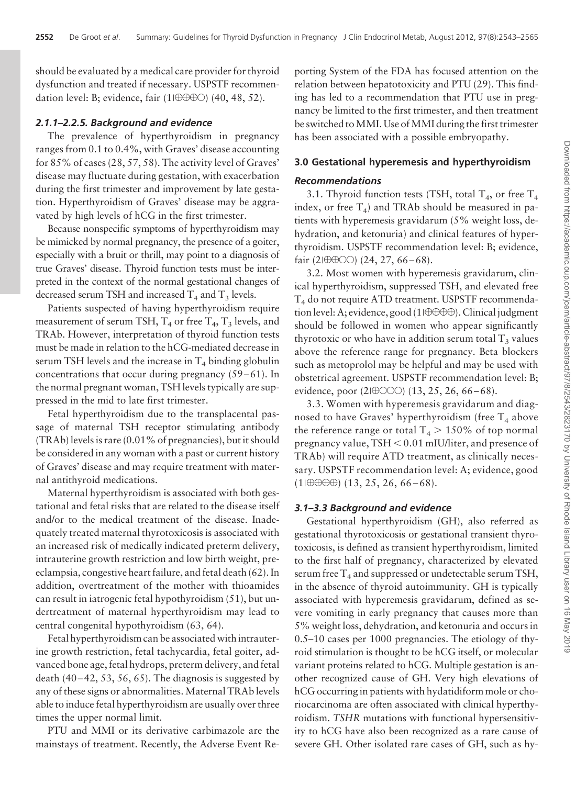should be evaluated by a medical care provider for thyroid dysfunction and treated if necessary. USPSTF recommendation level: B; evidence, fair  $(1|\theta \theta \theta \theta)$  (40, 48, 52).

#### *2.1.1–2.2.5. Background and evidence*

The prevalence of hyperthyroidism in pregnancy ranges from 0.1 to 0.4%, with Graves' disease accounting for 85% of cases (28, 57, 58). The activity level of Graves' disease may fluctuate during gestation, with exacerbation during the first trimester and improvement by late gestation. Hyperthyroidism of Graves' disease may be aggravated by high levels of hCG in the first trimester.

Because nonspecific symptoms of hyperthyroidism may be mimicked by normal pregnancy, the presence of a goiter, especially with a bruit or thrill, may point to a diagnosis of true Graves' disease. Thyroid function tests must be interpreted in the context of the normal gestational changes of decreased serum TSH and increased  $T_4$  and  $T_3$  levels.

Patients suspected of having hyperthyroidism require measurement of serum TSH,  $T_4$  or free  $T_4$ ,  $T_3$  levels, and TRAb. However, interpretation of thyroid function tests must be made in relation to the hCG-mediated decrease in serum TSH levels and the increase in  $T_4$  binding globulin concentrations that occur during pregnancy  $(59-61)$ . In the normal pregnant woman, TSH levels typically are suppressed in the mid to late first trimester.

Fetal hyperthyroidism due to the transplacental passage of maternal TSH receptor stimulating antibody (TRAb) levels is rare (0.01% of pregnancies), but it should be considered in any woman with a past or current history of Graves' disease and may require treatment with maternal antithyroid medications.

Maternal hyperthyroidism is associated with both gestational and fetal risks that are related to the disease itself and/or to the medical treatment of the disease. Inadequately treated maternal thyrotoxicosis is associated with an increased risk of medically indicated preterm delivery, intrauterine growth restriction and low birth weight, preeclampsia, congestive heart failure, and fetal death (62). In addition, overtreatment of the mother with thioamides can result in iatrogenic fetal hypothyroidism (51), but undertreatment of maternal hyperthyroidism may lead to central congenital hypothyroidism (63, 64).

Fetal hyperthyroidism can be associated with intrauterine growth restriction, fetal tachycardia, fetal goiter, advanced bone age, fetal hydrops, preterm delivery, and fetal death  $(40-42, 53, 56, 65)$ . The diagnosis is suggested by any of these signs or abnormalities. Maternal TRAb levels able to induce fetal hyperthyroidism are usually over three times the upper normal limit.

PTU and MMI or its derivative carbimazole are the mainstays of treatment. Recently, the Adverse Event Re-

porting System of the FDA has focused attention on the relation between hepatotoxicity and PTU (29). This finding has led to a recommendation that PTU use in pregnancy be limited to the first trimester, and then treatment be switched to MMI. Use of MMI during the first trimester has been associated with a possible embryopathy.

#### **3.0 Gestational hyperemesis and hyperthyroidism**

#### *Recommendations*

3.1. Thyroid function tests (TSH, total  $T_4$ , or free  $T_4$ index, or free  $T_4$ ) and TRAb should be measured in patients with hyperemesis gravidarum (5% weight loss, dehydration, and ketonuria) and clinical features of hyperthyroidism. USPSTF recommendation level: B; evidence, fair (2 $\Theta$  $\Theta$  $\odot$ ) (24, 27, 66-68).

3.2. Most women with hyperemesis gravidarum, clinical hyperthyroidism, suppressed TSH, and elevated free T<sub>4</sub> do not require ATD treatment. USPSTF recommendation level: A; evidence, good (1 $\theta \rightarrow \theta$ ). Clinical judgment should be followed in women who appear significantly thyrotoxic or who have in addition serum total  $T_3$  values above the reference range for pregnancy. Beta blockers such as metoprolol may be helpful and may be used with obstetrical agreement. USPSTF recommendation level: B; evidence, poor  $(2|\oplus \text{OOO}) (13, 25, 26, 66 - 68)$ .

3.3. Women with hyperemesis gravidarum and diagnosed to have Graves' hyperthyroidism (free  $T_4$  above the reference range or total  $T_4 > 150\%$  of top normal pregnancy value,  $TSH < 0.01$  mIU/liter, and presence of TRAb) will require ATD treatment, as clinically necessary. USPSTF recommendation level: A; evidence, good  $(1|\oplus\oplus\oplus)$   $(13, 25, 26, 66 - 68)$ .

### *3.1–3.3 Background and evidence*

Gestational hyperthyroidism (GH), also referred as gestational thyrotoxicosis or gestational transient thyrotoxicosis, is defined as transient hyperthyroidism, limited to the first half of pregnancy, characterized by elevated serum free  $T_4$  and suppressed or undetectable serum TSH, in the absence of thyroid autoimmunity. GH is typically associated with hyperemesis gravidarum, defined as severe vomiting in early pregnancy that causes more than 5% weight loss, dehydration, and ketonuria and occurs in 0.5–10 cases per 1000 pregnancies. The etiology of thyroid stimulation is thought to be hCG itself, or molecular variant proteins related to hCG. Multiple gestation is another recognized cause of GH. Very high elevations of hCG occurring in patients with hydatidiform mole or choriocarcinoma are often associated with clinical hyperthyroidism. *TSHR* mutations with functional hypersensitivity to hCG have also been recognized as a rare cause of severe GH. Other isolated rare cases of GH, such as hy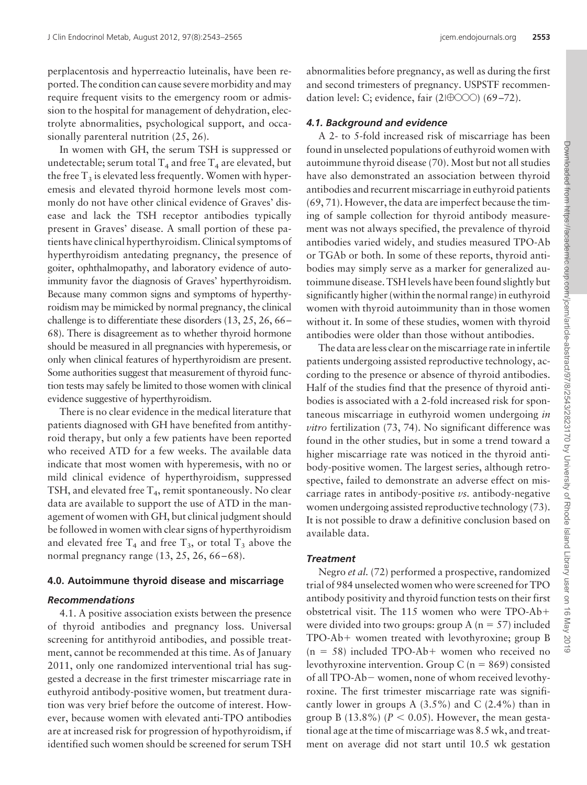perplacentosis and hyperreactio luteinalis, have been reported. The condition can cause severe morbidity and may require frequent visits to the emergency room or admission to the hospital for management of dehydration, electrolyte abnormalities, psychological support, and occasionally parenteral nutrition (25, 26).

In women with GH, the serum TSH is suppressed or undetectable; serum total  $T_4$  and free  $T_4$  are elevated, but the free  $T_3$  is elevated less frequently. Women with hyperemesis and elevated thyroid hormone levels most commonly do not have other clinical evidence of Graves' disease and lack the TSH receptor antibodies typically present in Graves' disease. A small portion of these patients have clinical hyperthyroidism. Clinical symptoms of hyperthyroidism antedating pregnancy, the presence of goiter, ophthalmopathy, and laboratory evidence of autoimmunity favor the diagnosis of Graves' hyperthyroidism. Because many common signs and symptoms of hyperthyroidism may be mimicked by normal pregnancy, the clinical challenge is to differentiate these disorders (13, 25, 26, 66 – 68). There is disagreement as to whether thyroid hormone should be measured in all pregnancies with hyperemesis, or only when clinical features of hyperthyroidism are present. Some authorities suggest that measurement of thyroid function tests may safely be limited to those women with clinical evidence suggestive of hyperthyroidism.

There is no clear evidence in the medical literature that patients diagnosed with GH have benefited from antithyroid therapy, but only a few patients have been reported who received ATD for a few weeks. The available data indicate that most women with hyperemesis, with no or mild clinical evidence of hyperthyroidism, suppressed TSH, and elevated free  $T_4$ , remit spontaneously. No clear data are available to support the use of ATD in the management of women with GH, but clinical judgment should be followed in women with clear signs of hyperthyroidism and elevated free  $T_4$  and free  $T_3$ , or total  $T_3$  above the normal pregnancy range  $(13, 25, 26, 66 - 68)$ .

#### **4.0. Autoimmune thyroid disease and miscarriage**

### *Recommendations*

4.1. A positive association exists between the presence of thyroid antibodies and pregnancy loss. Universal screening for antithyroid antibodies, and possible treatment, cannot be recommended at this time. As of January 2011, only one randomized interventional trial has suggested a decrease in the first trimester miscarriage rate in euthyroid antibody-positive women, but treatment duration was very brief before the outcome of interest. However, because women with elevated anti-TPO antibodies are at increased risk for progression of hypothyroidism, if identified such women should be screened for serum TSH abnormalities before pregnancy, as well as during the first and second trimesters of pregnancy. USPSTF recommendation level: C; evidence, fair  $(2\vert \oplus \odot \odot)$  (69–72).

## *4.1. Background and evidence*

A 2- to 5-fold increased risk of miscarriage has been found in unselected populations of euthyroid women with autoimmune thyroid disease (70). Most but not all studies have also demonstrated an association between thyroid antibodies and recurrent miscarriage in euthyroid patients (69, 71). However, the data are imperfect because the timing of sample collection for thyroid antibody measurement was not always specified, the prevalence of thyroid antibodies varied widely, and studies measured TPO-Ab or TGAb or both. In some of these reports, thyroid antibodies may simply serve as a marker for generalized autoimmune disease. TSH levels have been found slightly but significantly higher (within the normal range) in euthyroid women with thyroid autoimmunity than in those women without it. In some of these studies, women with thyroid antibodies were older than those without antibodies.

The data are less clear on the miscarriage rate in infertile patients undergoing assisted reproductive technology, according to the presence or absence of thyroid antibodies. Half of the studies find that the presence of thyroid antibodies is associated with a 2-fold increased risk for spontaneous miscarriage in euthyroid women undergoing *in vitro* fertilization (73, 74). No significant difference was found in the other studies, but in some a trend toward a higher miscarriage rate was noticed in the thyroid antibody-positive women. The largest series, although retrospective, failed to demonstrate an adverse effect on miscarriage rates in antibody-positive *vs.* antibody-negative women undergoing assisted reproductive technology (73). It is not possible to draw a definitive conclusion based on available data.

#### *Treatment*

Negro *et al.* (72) performed a prospective, randomized trial of 984 unselected women who were screened for TPO antibody positivity and thyroid function tests on their first obstetrical visit. The 115 women who were TPO-Ab were divided into two groups: group A ( $n = 57$ ) included TPO-Ab- women treated with levothyroxine; group B  $(n = 58)$  included TPO-Ab+ women who received no levothyroxine intervention. Group C ( $n = 869$ ) consisted of all TPO-Ab – women, none of whom received levothyroxine. The first trimester miscarriage rate was significantly lower in groups A  $(3.5\%)$  and C  $(2.4\%)$  than in group B (13.8%) ( $P < 0.05$ ). However, the mean gestational age at the time of miscarriage was 8.5 wk, and treatment on average did not start until 10.5 wk gestation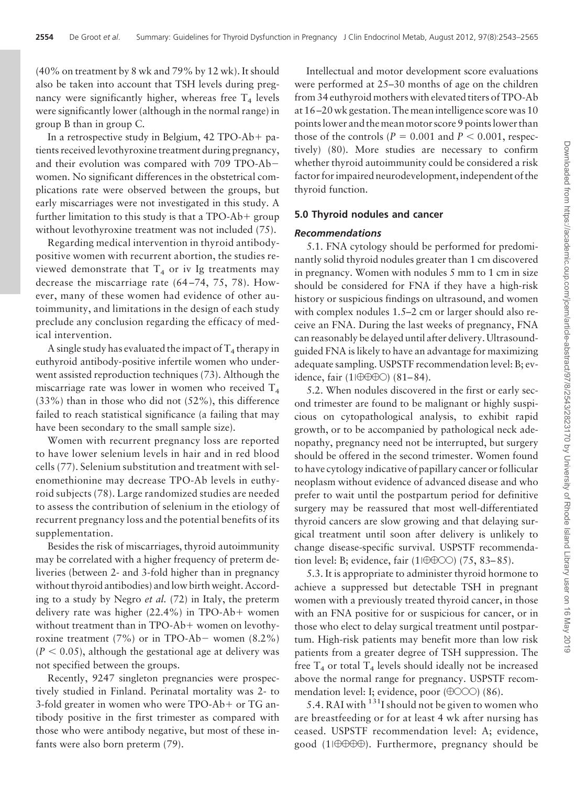(40% on treatment by 8 wk and 79% by 12 wk). It should also be taken into account that TSH levels during pregnancy were significantly higher, whereas free  $T<sub>4</sub>$  levels were significantly lower (although in the normal range) in group B than in group C.

In a retrospective study in Belgium, 42 TPO-Ab+ patients received levothyroxine treatment during pregnancy, and their evolution was compared with 709 TPO-Ab women. No significant differences in the obstetrical complications rate were observed between the groups, but early miscarriages were not investigated in this study. A further limitation to this study is that a TPO-Ab+ group without levothyroxine treatment was not included (75).

Regarding medical intervention in thyroid antibodypositive women with recurrent abortion, the studies reviewed demonstrate that  $T_4$  or iv Ig treatments may decrease the miscarriage rate (64 –74, 75, 78). However, many of these women had evidence of other autoimmunity, and limitations in the design of each study preclude any conclusion regarding the efficacy of medical intervention.

A single study has evaluated the impact of  $T_4$  therapy in euthyroid antibody-positive infertile women who underwent assisted reproduction techniques (73). Although the miscarriage rate was lower in women who received  $T_4$ (33%) than in those who did not (52%), this difference failed to reach statistical significance (a failing that may have been secondary to the small sample size).

Women with recurrent pregnancy loss are reported to have lower selenium levels in hair and in red blood cells (77). Selenium substitution and treatment with selenomethionine may decrease TPO-Ab levels in euthyroid subjects (78). Large randomized studies are needed to assess the contribution of selenium in the etiology of recurrent pregnancy loss and the potential benefits of its supplementation.

Besides the risk of miscarriages, thyroid autoimmunity may be correlated with a higher frequency of preterm deliveries (between 2- and 3-fold higher than in pregnancy without thyroid antibodies) and low birth weight. According to a study by Negro *et al.* (72) in Italy, the preterm delivery rate was higher (22.4%) in TPO-Ab- women without treatment than in TPO-Ab+ women on levothyroxine treatment (7%) or in TPO-Ab- women  $(8.2\%)$  $(P < 0.05)$ , although the gestational age at delivery was not specified between the groups.

Recently, 9247 singleton pregnancies were prospectively studied in Finland. Perinatal mortality was 2- to 3-fold greater in women who were TPO-Ab+ or TG antibody positive in the first trimester as compared with those who were antibody negative, but most of these infants were also born preterm (79).

Intellectual and motor development score evaluations were performed at 25–30 months of age on the children from 34 euthyroid mothers with elevated titers of TPO-Ab at 16 –20 wk gestation. The mean intelligence score was 10 points lower and the mean motor score 9 points lower than those of the controls ( $P = 0.001$  and  $P < 0.001$ , respectively) (80). More studies are necessary to confirm whether thyroid autoimmunity could be considered a risk factor for impaired neurodevelopment, independent of the thyroid function.

#### **5.0 Thyroid nodules and cancer**

#### *Recommendations*

5.1. FNA cytology should be performed for predominantly solid thyroid nodules greater than 1 cm discovered in pregnancy. Women with nodules 5 mm to 1 cm in size should be considered for FNA if they have a high-risk history or suspicious findings on ultrasound, and women with complex nodules 1.5–2 cm or larger should also receive an FNA. During the last weeks of pregnancy, FNA can reasonably be delayed until after delivery. Ultrasoundguided FNA is likely to have an advantage for maximizing adequate sampling. USPSTF recommendation level: B; evidence, fair (1 $\oplus \oplus \oplus \odot$ ) (81–84).

5.2. When nodules discovered in the first or early second trimester are found to be malignant or highly suspicious on cytopathological analysis, to exhibit rapid growth, or to be accompanied by pathological neck adenopathy, pregnancy need not be interrupted, but surgery should be offered in the second trimester. Women found to have cytology indicative of papillary cancer or follicular neoplasm without evidence of advanced disease and who prefer to wait until the postpartum period for definitive surgery may be reassured that most well-differentiated thyroid cancers are slow growing and that delaying surgical treatment until soon after delivery is unlikely to change disease-specific survival. USPSTF recommendation level: B; evidence, fair  $(1|\oplus \oplus \odot)$  (75, 83–85).

5.3. It is appropriate to administer thyroid hormone to achieve a suppressed but detectable TSH in pregnant women with a previously treated thyroid cancer, in those with an FNA positive for or suspicious for cancer, or in those who elect to delay surgical treatment until postpartum. High-risk patients may benefit more than low risk patients from a greater degree of TSH suppression. The free  $T_4$  or total  $T_4$  levels should ideally not be increased above the normal range for pregnancy. USPSTF recommendation level: I; evidence, poor  $(\oplus$ OOO) (86).

5.4. RAI with  $^{131}$ I should not be given to women who are breastfeeding or for at least 4 wk after nursing has ceased. USPSTF recommendation level: A; evidence, good (1 $\theta \rightarrow \theta$ ). Furthermore, pregnancy should be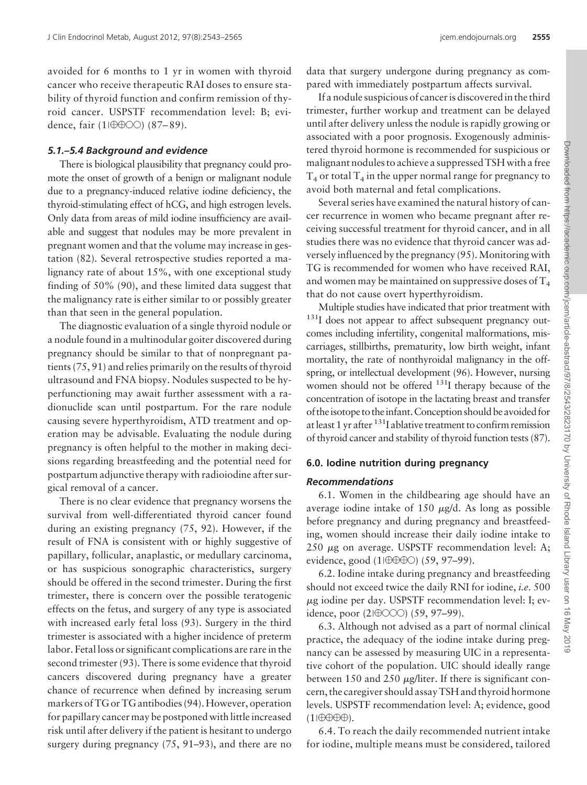avoided for 6 months to 1 yr in women with thyroid cancer who receive therapeutic RAI doses to ensure stability of thyroid function and confirm remission of thyroid cancer. USPSTF recommendation level: B; evidence, fair (1 $\oplus$  $\oplus$ OO) (87–89).

#### *5.1.–5.4 Background and evidence*

There is biological plausibility that pregnancy could promote the onset of growth of a benign or malignant nodule due to a pregnancy-induced relative iodine deficiency, the thyroid-stimulating effect of hCG, and high estrogen levels. Only data from areas of mild iodine insufficiency are available and suggest that nodules may be more prevalent in pregnant women and that the volume may increase in gestation (82). Several retrospective studies reported a malignancy rate of about 15%, with one exceptional study finding of 50% (90), and these limited data suggest that the malignancy rate is either similar to or possibly greater than that seen in the general population.

The diagnostic evaluation of a single thyroid nodule or a nodule found in a multinodular goiter discovered during pregnancy should be similar to that of nonpregnant patients (75, 91) and relies primarily on the results of thyroid ultrasound and FNA biopsy. Nodules suspected to be hyperfunctioning may await further assessment with a radionuclide scan until postpartum. For the rare nodule causing severe hyperthyroidism, ATD treatment and operation may be advisable. Evaluating the nodule during pregnancy is often helpful to the mother in making decisions regarding breastfeeding and the potential need for postpartum adjunctive therapy with radioiodine after surgical removal of a cancer.

There is no clear evidence that pregnancy worsens the survival from well-differentiated thyroid cancer found during an existing pregnancy (75, 92). However, if the result of FNA is consistent with or highly suggestive of papillary, follicular, anaplastic, or medullary carcinoma, or has suspicious sonographic characteristics, surgery should be offered in the second trimester. During the first trimester, there is concern over the possible teratogenic effects on the fetus, and surgery of any type is associated with increased early fetal loss (93). Surgery in the third trimester is associated with a higher incidence of preterm labor. Fetal loss or significant complications are rare in the second trimester (93). There is some evidence that thyroid cancers discovered during pregnancy have a greater chance of recurrence when defined by increasing serum markers of TG or TG antibodies (94). However, operation for papillary cancer may be postponed with little increased risk until after delivery if the patient is hesitant to undergo surgery during pregnancy  $(75, 91-93)$ , and there are no data that surgery undergone during pregnancy as compared with immediately postpartum affects survival.

If a nodule suspicious of cancer is discovered in the third trimester, further workup and treatment can be delayed until after delivery unless the nodule is rapidly growing or associated with a poor prognosis. Exogenously administered thyroid hormone is recommended for suspicious or malignant nodules to achieve a suppressed TSH with a free  $T_4$  or total  $T_4$  in the upper normal range for pregnancy to avoid both maternal and fetal complications.

Several series have examined the natural history of cancer recurrence in women who became pregnant after receiving successful treatment for thyroid cancer, and in all studies there was no evidence that thyroid cancer was adversely influenced by the pregnancy (95). Monitoring with TG is recommended for women who have received RAI, and women may be maintained on suppressive doses of  $T_4$ that do not cause overt hyperthyroidism.

Multiple studies have indicated that prior treatment with <sup>131</sup>I does not appear to affect subsequent pregnancy outcomes including infertility, congenital malformations, miscarriages, stillbirths, prematurity, low birth weight, infant mortality, the rate of nonthyroidal malignancy in the offspring, or intellectual development (96). However, nursing women should not be offered  $131$ I therapy because of the concentration of isotope in the lactating breast and transfer of theisotope to theinfant.Conception should be avoided for at least 1 yr after <sup>131</sup>I ablative treatment to confirm remission of thyroid cancer and stability of thyroid function tests (87).

#### **6.0. Iodine nutrition during pregnancy**

#### *Recommendations*

6.1. Women in the childbearing age should have an average iodine intake of  $150 \mu g/d$ . As long as possible before pregnancy and during pregnancy and breastfeeding, women should increase their daily iodine intake to 250  $\mu$ g on average. USPSTF recommendation level: A; evidence, good (1| $\oplus$  $\oplus$  $\oplus$ ) (59, 97–99).

6.2. Iodine intake during pregnancy and breastfeeding should not exceed twice the daily RNI for iodine, *i.e.* 500  $\mu$ g iodine per day. USPSTF recommendation level: I; evidence, poor (2| $\oplus$ OOO) (59, 97–99).

6.3. Although not advised as a part of normal clinical practice, the adequacy of the iodine intake during pregnancy can be assessed by measuring UIC in a representative cohort of the population. UIC should ideally range between 150 and 250  $\mu$ g/liter. If there is significant concern, the caregiver should assay TSH and thyroid hormone levels. USPSTF recommendation level: A; evidence, good  $(1|\oplus\oplus\oplus\oplus)$ .

6.4. To reach the daily recommended nutrient intake for iodine, multiple means must be considered, tailored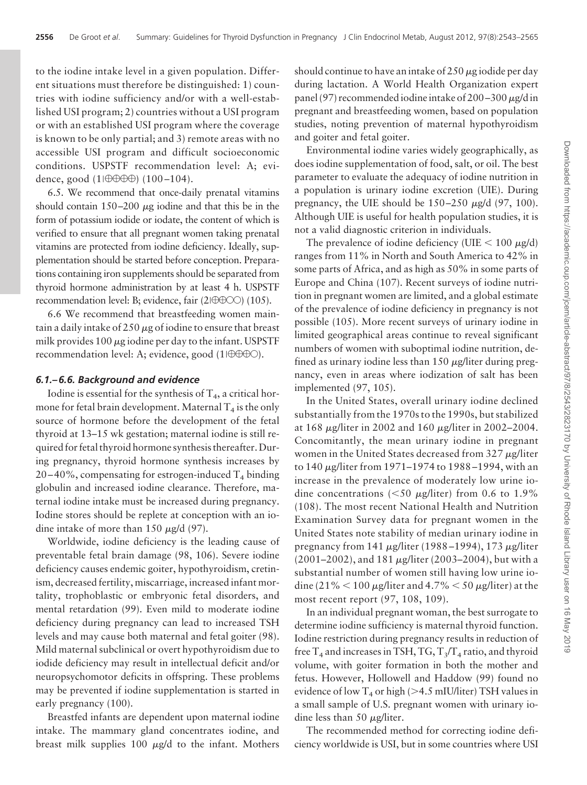to the iodine intake level in a given population. Different situations must therefore be distinguished: 1) countries with iodine sufficiency and/or with a well-established USI program; 2) countries without a USI program or with an established USI program where the coverage is known to be only partial; and 3) remote areas with no accessible USI program and difficult socioeconomic conditions. USPSTF recommendation level: A; evidence, good  $(1|\oplus \oplus \oplus \oplus)$   $(100-104)$ .

6.5. We recommend that once-daily prenatal vitamins should contain  $150-200 \mu g$  iodine and that this be in the form of potassium iodide or iodate, the content of which is verified to ensure that all pregnant women taking prenatal vitamins are protected from iodine deficiency. Ideally, supplementation should be started before conception. Preparations containing iron supplements should be separated from thyroid hormone administration by at least 4 h. USPSTF recommendation level: B; evidence, fair  $(2|\theta \theta \infty)$  (105).

6.6 We recommend that breastfeeding women maintain a daily intake of  $250 \mu$ g of iodine to ensure that breast milk provides  $100 \mu$ g iodine per day to the infant. USPSTF recommendation level: A; evidence, good  $(1|\theta \theta \theta \theta)$ .

#### *6.1.– 6.6. Background and evidence*

Iodine is essential for the synthesis of  $T_4$ , a critical hormone for fetal brain development. Maternal  $T_4$  is the only source of hormone before the development of the fetal thyroid at 13–15 wk gestation; maternal iodine is still required for fetal thyroid hormone synthesis thereafter. During pregnancy, thyroid hormone synthesis increases by 20–40%, compensating for estrogen-induced  $T_4$  binding globulin and increased iodine clearance. Therefore, maternal iodine intake must be increased during pregnancy. Iodine stores should be replete at conception with an iodine intake of more than 150  $\mu$ g/d (97).

Worldwide, iodine deficiency is the leading cause of preventable fetal brain damage (98, 106). Severe iodine deficiency causes endemic goiter, hypothyroidism, cretinism, decreased fertility, miscarriage, increased infant mortality, trophoblastic or embryonic fetal disorders, and mental retardation (99). Even mild to moderate iodine deficiency during pregnancy can lead to increased TSH levels and may cause both maternal and fetal goiter (98). Mild maternal subclinical or overt hypothyroidism due to iodide deficiency may result in intellectual deficit and/or neuropsychomotor deficits in offspring. These problems may be prevented if iodine supplementation is started in early pregnancy (100).

Breastfed infants are dependent upon maternal iodine intake. The mammary gland concentrates iodine, and breast milk supplies  $100 \mu g/d$  to the infant. Mothers

should continue to have an intake of  $250 \mu$ g iodide per day during lactation. A World Health Organization expert panel (97) recommended iodine intake of 200-300  $\mu$ g/d in pregnant and breastfeeding women, based on population studies, noting prevention of maternal hypothyroidism and goiter and fetal goiter.

Environmental iodine varies widely geographically, as does iodine supplementation of food, salt, or oil. The best parameter to evaluate the adequacy of iodine nutrition in a population is urinary iodine excretion (UIE). During pregnancy, the UIE should be  $150-250 \mu g/d$  (97, 100). Although UIE is useful for health population studies, it is not a valid diagnostic criterion in individuals.

The prevalence of iodine deficiency (UIE  $< 100 \mu g/d$ ) ranges from 11% in North and South America to 42% in some parts of Africa, and as high as 50% in some parts of Europe and China (107). Recent surveys of iodine nutrition in pregnant women are limited, and a global estimate of the prevalence of iodine deficiency in pregnancy is not possible (105). More recent surveys of urinary iodine in limited geographical areas continue to reveal significant numbers of women with suboptimal iodine nutrition, defined as urinary iodine less than  $150 \mu g/l$ iter during pregnancy, even in areas where iodization of salt has been implemented (97, 105).

In the United States, overall urinary iodine declined substantially from the 1970s to the 1990s, but stabilized at 168  $\mu$ g/liter in 2002 and 160  $\mu$ g/liter in 2002–2004. Concomitantly, the mean urinary iodine in pregnant women in the United States decreased from  $327 \mu$ g/liter to 140 µg/liter from 1971-1974 to 1988-1994, with an increase in the prevalence of moderately low urine iodine concentrations  $\langle 50 \mu g/l$  iter) from 0.6 to 1.9% (108). The most recent National Health and Nutrition Examination Survey data for pregnant women in the United States note stability of median urinary iodine in pregnancy from 141  $\mu$ g/liter (1988–1994), 173  $\mu$ g/liter  $(2001–2002)$ , and 181  $\mu$ g/liter (2003–2004), but with a substantial number of women still having low urine iodine (21%  $<$  100  $\mu$ g/liter and 4.7%  $<$  50  $\mu$ g/liter) at the most recent report (97, 108, 109).

In an individual pregnant woman, the best surrogate to determine iodine sufficiency is maternal thyroid function. Iodine restriction during pregnancy results in reduction of free  $T_4$  and increases in TSH, TG,  $T_3/T_4$  ratio, and thyroid volume, with goiter formation in both the mother and fetus. However, Hollowell and Haddow (99) found no evidence of low  $T_4$  or high (>4.5 mIU/liter) TSH values in a small sample of U.S. pregnant women with urinary iodine less than 50  $\mu$ g/liter.

The recommended method for correcting iodine deficiency worldwide is USI, but in some countries where USI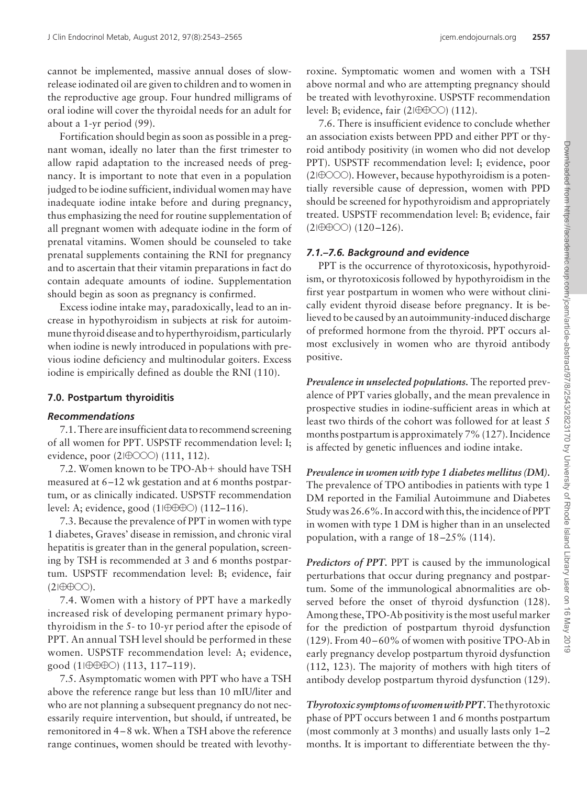cannot be implemented, massive annual doses of slowrelease iodinated oil are given to children and to women in the reproductive age group. Four hundred milligrams of oral iodine will cover the thyroidal needs for an adult for about a 1-yr period (99).

Fortification should begin as soon as possible in a pregnant woman, ideally no later than the first trimester to allow rapid adaptation to the increased needs of pregnancy. It is important to note that even in a population judged to be iodine sufficient, individual women may have inadequate iodine intake before and during pregnancy, thus emphasizing the need for routine supplementation of all pregnant women with adequate iodine in the form of prenatal vitamins. Women should be counseled to take prenatal supplements containing the RNI for pregnancy and to ascertain that their vitamin preparations in fact do contain adequate amounts of iodine. Supplementation should begin as soon as pregnancy is confirmed.

Excess iodine intake may, paradoxically, lead to an increase in hypothyroidism in subjects at risk for autoimmune thyroid disease and to hyperthyroidism, particularly when iodine is newly introduced in populations with previous iodine deficiency and multinodular goiters. Excess iodine is empirically defined as double the RNI (110).

## **7.0. Postpartum thyroiditis**

### *Recommendations*

7.1. There are insufficient data to recommend screening of all women for PPT. USPSTF recommendation level: I; evidence, poor  $(2|\theta$ OOO $)$   $(111, 112)$ .

7.2. Women known to be TPO-Ab+ should have TSH measured at 6 –12 wk gestation and at 6 months postpartum, or as clinically indicated. USPSTF recommendation level: A; evidence, good  $(1|\oplus\oplus\oplus\odot)$   $(112-116)$ .

7.3. Because the prevalence of PPT in women with type 1 diabetes, Graves' disease in remission, and chronic viral hepatitis is greater than in the general population, screening by TSH is recommended at 3 and 6 months postpartum. USPSTF recommendation level: B; evidence, fair  $(2|\oplus\oplus\odot\odot)$ .

7.4. Women with a history of PPT have a markedly increased risk of developing permanent primary hypothyroidism in the 5- to 10-yr period after the episode of PPT. An annual TSH level should be performed in these women. USPSTF recommendation level: A; evidence, good (1 $\theta \theta \theta$ O) (113, 117–119).

7.5. Asymptomatic women with PPT who have a TSH above the reference range but less than 10 mIU/liter and who are not planning a subsequent pregnancy do not necessarily require intervention, but should, if untreated, be remonitored in 4 – 8 wk. When a TSH above the reference range continues, women should be treated with levothy-

roxine. Symptomatic women and women with a TSH above normal and who are attempting pregnancy should be treated with levothyroxine. USPSTF recommendation level: B; evidence, fair  $(2|\theta \theta \odot 0)$  (112).

7.6. There is insufficient evidence to conclude whether an association exists between PPD and either PPT or thyroid antibody positivity (in women who did not develop PPT). USPSTF recommendation level: I; evidence, poor (2 $\Theta$ COC). However, because hypothyroidism is a potentially reversible cause of depression, women with PPD should be screened for hypothyroidism and appropriately treated. USPSTF recommendation level: B; evidence, fair  $(2|\oplus \oplus \odot)$   $(120-126)$ .

## *7.1.–7.6. Background and evidence*

PPT is the occurrence of thyrotoxicosis, hypothyroidism, or thyrotoxicosis followed by hypothyroidism in the first year postpartum in women who were without clinically evident thyroid disease before pregnancy. It is believed to be caused by an autoimmunity-induced discharge of preformed hormone from the thyroid. PPT occurs almost exclusively in women who are thyroid antibody positive.

*Prevalence in unselected populations.* The reported prevalence of PPT varies globally, and the mean prevalence in prospective studies in iodine-sufficient areas in which at least two thirds of the cohort was followed for at least 5 months postpartum is approximately 7% (127). Incidence is affected by genetic influences and iodine intake.

*Prevalence in women with type 1 diabetes mellitus (DM).* The prevalence of TPO antibodies in patients with type 1 DM reported in the Familial Autoimmune and Diabetes Study was 26.6%. In accord with this, the incidence of PPT in women with type 1 DM is higher than in an unselected population, with a range of 18 –25% (114).

*Predictors of PPT.* PPT is caused by the immunological perturbations that occur during pregnancy and postpartum. Some of the immunological abnormalities are observed before the onset of thyroid dysfunction (128). Among these, TPO-Ab positivity is the most useful marker for the prediction of postpartum thyroid dysfunction  $(129)$ . From 40–60% of women with positive TPO-Ab in early pregnancy develop postpartum thyroid dysfunction (112, 123). The majority of mothers with high titers of antibody develop postpartum thyroid dysfunction (129).

*Thyrotoxic symptomsofwomenwithPPT.*The thyrotoxic phase of PPT occurs between 1 and 6 months postpartum (most commonly at 3 months) and usually lasts only 1–2 months. It is important to differentiate between the thy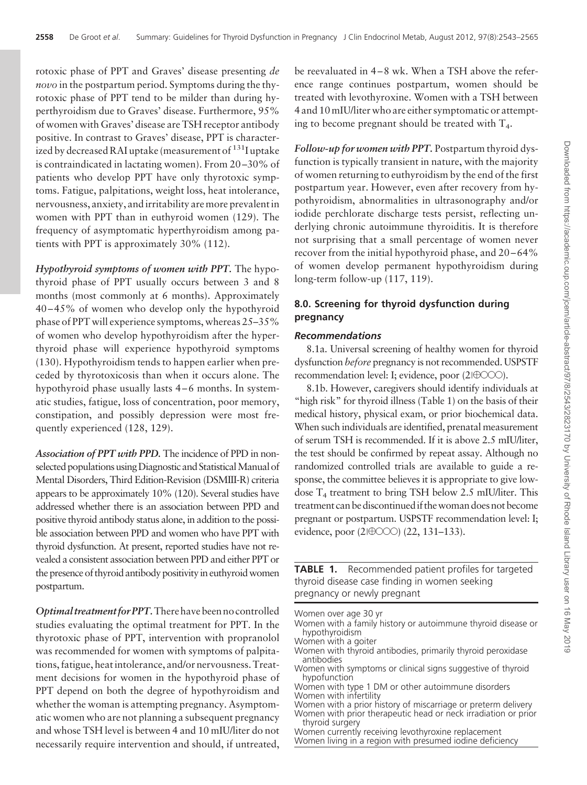rotoxic phase of PPT and Graves' disease presenting *de novo* in the postpartum period. Symptoms during the thyrotoxic phase of PPT tend to be milder than during hyperthyroidism due to Graves' disease. Furthermore, 95% of women with Graves' disease are TSH receptor antibody positive. In contrast to Graves' disease, PPT is characterized by decreased RAI uptake (measurement of <sup>131</sup>I uptake is contraindicated in lactating women). From 20 –30% of patients who develop PPT have only thyrotoxic symptoms. Fatigue, palpitations, weight loss, heat intolerance, nervousness, anxiety, and irritability are more prevalent in women with PPT than in euthyroid women (129). The frequency of asymptomatic hyperthyroidism among patients with PPT is approximately 30% (112).

*Hypothyroid symptoms of women with PPT.* The hypothyroid phase of PPT usually occurs between 3 and 8 months (most commonly at 6 months). Approximately 40 – 45% of women who develop only the hypothyroid phase of PPT will experience symptoms, whereas 25–35% of women who develop hypothyroidism after the hyperthyroid phase will experience hypothyroid symptoms (130). Hypothyroidism tends to happen earlier when preceded by thyrotoxicosis than when it occurs alone. The hypothyroid phase usually lasts 4–6 months. In systematic studies, fatigue, loss of concentration, poor memory, constipation, and possibly depression were most frequently experienced (128, 129).

*Association of PPT with PPD.* The incidence of PPD in nonselected populations using Diagnostic and Statistical Manual of Mental Disorders, Third Edition-Revision (DSMIII-R) criteria appears to be approximately 10% (120). Several studies have addressed whether there is an association between PPD and positive thyroid antibody status alone, in addition to the possible association between PPD and women who have PPT with thyroid dysfunction. At present, reported studies have not revealed a consistent association between PPD and either PPT or the presence of thyroid antibody positivity in euthyroid women postpartum.

*Optimal treatment for PPT.*There have been no controlled studies evaluating the optimal treatment for PPT. In the thyrotoxic phase of PPT, intervention with propranolol was recommended for women with symptoms of palpitations, fatigue, heat intolerance, and/or nervousness. Treatment decisions for women in the hypothyroid phase of PPT depend on both the degree of hypothyroidism and whether the woman is attempting pregnancy. Asymptomatic women who are not planning a subsequent pregnancy and whose TSH level is between 4 and 10 mIU/liter do not necessarily require intervention and should, if untreated,

be reevaluated in 4-8 wk. When a TSH above the reference range continues postpartum, women should be treated with levothyroxine. Women with a TSH between 4 and 10 mIU/liter who are either symptomatic or attempting to become pregnant should be treated with  $T<sub>4</sub>$ .

*Follow-up for women with PPT.* Postpartum thyroid dysfunction is typically transient in nature, with the majority of women returning to euthyroidism by the end of the first postpartum year. However, even after recovery from hypothyroidism, abnormalities in ultrasonography and/or iodide perchlorate discharge tests persist, reflecting underlying chronic autoimmune thyroiditis. It is therefore not surprising that a small percentage of women never recover from the initial hypothyroid phase, and 20 – 64% of women develop permanent hypothyroidism during long-term follow-up (117, 119).

# **8.0. Screening for thyroid dysfunction during pregnancy**

## *Recommendations*

8.1a. Universal screening of healthy women for thyroid dysfunction *before* pregnancy is not recommended. USPSTF recommendation level: I; evidence, poor (2| $\oplus$ OOO).

8.1b. However, caregivers should identify individuals at "high risk" for thyroid illness (Table 1) on the basis of their medical history, physical exam, or prior biochemical data. When such individuals are identified, prenatal measurement of serum TSH is recommended. If it is above 2.5 mIU/liter, the test should be confirmed by repeat assay. Although no randomized controlled trials are available to guide a response, the committee believes it is appropriate to give lowdose  $T_4$  treatment to bring TSH below 2.5 mIU/liter. This treatment can be discontinuedif thewoman does not become pregnant or postpartum. USPSTF recommendation level: I; evidence, poor (2 $\text{(\theta OOO)}$  (22, 131–133).

**TABLE 1.** Recommended patient profiles for targeted thyroid disease case finding in women seeking pregnancy or newly pregnant

Women over age 30 yr

- Women with a family history or autoimmune thyroid disease or hypothyroidism Women with a goiter
- 
- Women with thyroid antibodies, primarily thyroid peroxidase antibodies
- Women with symptoms or clinical signs suggestive of thyroid hypofunction
- Women with type 1 DM or other autoimmune disorders Women with infertility

Women with a prior history of miscarriage or preterm delivery Women with prior therapeutic head or neck irradiation or prior thyroid surgery

Women currently receiving levothyroxine replacement Women living in a region with presumed iodine deficiency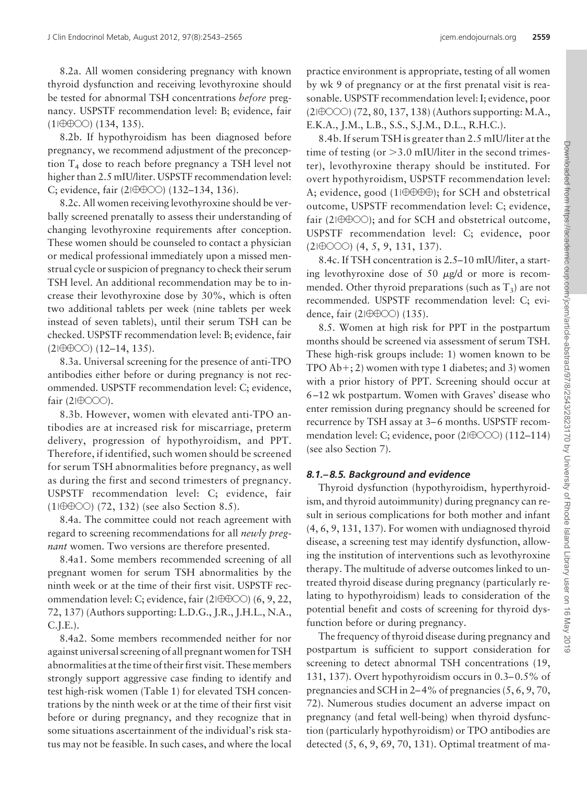8.2a. All women considering pregnancy with known thyroid dysfunction and receiving levothyroxine should be tested for abnormal TSH concentrations *before* pregnancy. USPSTF recommendation level: B; evidence, fair  $(1|\oplus\oplus\odot)$   $(134, 135)$ .

8.2b. If hypothyroidism has been diagnosed before pregnancy, we recommend adjustment of the preconception  $T_4$  dose to reach before pregnancy a TSH level not higher than 2.5 mIU/liter. USPSTF recommendation level: C; evidence, fair  $(2|\oplus \oplus \odot)$   $(132-134, 136)$ .

8.2c. All women receiving levothyroxine should be verbally screened prenatally to assess their understanding of changing levothyroxine requirements after conception. These women should be counseled to contact a physician or medical professional immediately upon a missed menstrual cycle or suspicion of pregnancy to check their serum TSH level. An additional recommendation may be to increase their levothyroxine dose by 30%, which is often two additional tablets per week (nine tablets per week instead of seven tablets), until their serum TSH can be checked. USPSTF recommendation level: B; evidence, fair  $(2|\oplus \oplus \odot)$   $(12-14, 135)$ .

8.3a. Universal screening for the presence of anti-TPO antibodies either before or during pregnancy is not recommended. USPSTF recommendation level: C; evidence, fair  $(2|\oplus\!\odot\!\odot)$ .

8.3b. However, women with elevated anti-TPO antibodies are at increased risk for miscarriage, preterm delivery, progression of hypothyroidism, and PPT. Therefore, if identified, such women should be screened for serum TSH abnormalities before pregnancy, as well as during the first and second trimesters of pregnancy. USPSTF recommendation level: C; evidence, fair  $(1|\oplus\oplus\odot)$  (72, 132) (see also Section 8.5).

8.4a. The committee could not reach agreement with regard to screening recommendations for all *newly pregnant* women. Two versions are therefore presented.

8.4a1. Some members recommended screening of all pregnant women for serum TSH abnormalities by the ninth week or at the time of their first visit. USPSTF recommendation level: C; evidence, fair  $(2|\theta \theta \infty)$  (6, 9, 22, 72, 137) (Authors supporting: L.D.G., J.R., J.H.L., N.A.,  $C.I.E.).$ 

8.4a2. Some members recommended neither for nor against universal screening of all pregnant women for TSH abnormalities at the time of their first visit. These members strongly support aggressive case finding to identify and test high-risk women (Table 1) for elevated TSH concentrations by the ninth week or at the time of their first visit before or during pregnancy, and they recognize that in some situations ascertainment of the individual's risk status may not be feasible. In such cases, and where the local

practice environment is appropriate, testing of all women by wk 9 of pregnancy or at the first prenatal visit is reasonable. USPSTF recommendation level: I; evidence, poor  $(2|\oplus$ OOO) (72, 80, 137, 138) (Authors supporting: M.A., E.K.A., J.M., L.B., S.S., S.J.M., D.L., R.H.C.).

8.4b. If serum TSH is greater than 2.5 mIU/liter at the time of testing (or  $>3.0$  mIU/liter in the second trimester), levothyroxine therapy should be instituted. For overt hypothyroidism, USPSTF recommendation level: A; evidence, good  $(1|\theta \theta \theta \theta)$ ; for SCH and obstetrical outcome, USPSTF recommendation level: C; evidence, fair (2 $\theta \oplus \theta \oplus \odot$ ); and for SCH and obstetrical outcome, USPSTF recommendation level: C; evidence, poor  $(2|\oplus$ OOO $)$   $(4, 5, 9, 131, 137)$ .

8.4c. If TSH concentration is 2.5–10 mIU/liter, a starting levothyroxine dose of 50  $\mu$ g/d or more is recommended. Other thyroid preparations (such as  $T_3$ ) are not recommended. USPSTF recommendation level: C; evidence, fair  $(2|\theta \theta \infty)$  (135).

8.5. Women at high risk for PPT in the postpartum months should be screened via assessment of serum TSH. These high-risk groups include: 1) women known to be TPO Ab-; 2) women with type 1 diabetes; and 3) women with a prior history of PPT. Screening should occur at 6 –12 wk postpartum. Women with Graves' disease who enter remission during pregnancy should be screened for recurrence by TSH assay at 3-6 months. USPSTF recommendation level: C; evidence, poor  $(2|\oplus OOO)$  (112–114) (see also Section 7).

### *8.1.– 8.5. Background and evidence*

Thyroid dysfunction (hypothyroidism, hyperthyroidism, and thyroid autoimmunity) during pregnancy can result in serious complications for both mother and infant (4, 6, 9, 131, 137). For women with undiagnosed thyroid disease, a screening test may identify dysfunction, allowing the institution of interventions such as levothyroxine therapy. The multitude of adverse outcomes linked to untreated thyroid disease during pregnancy (particularly relating to hypothyroidism) leads to consideration of the potential benefit and costs of screening for thyroid dysfunction before or during pregnancy.

The frequency of thyroid disease during pregnancy and postpartum is sufficient to support consideration for screening to detect abnormal TSH concentrations (19, 131, 137). Overt hypothyroidism occurs in 0.3– 0.5% of pregnancies and SCH in 2– 4% of pregnancies (5, 6, 9, 70, 72). Numerous studies document an adverse impact on pregnancy (and fetal well-being) when thyroid dysfunction (particularly hypothyroidism) or TPO antibodies are detected (5, 6, 9, 69, 70, 131). Optimal treatment of ma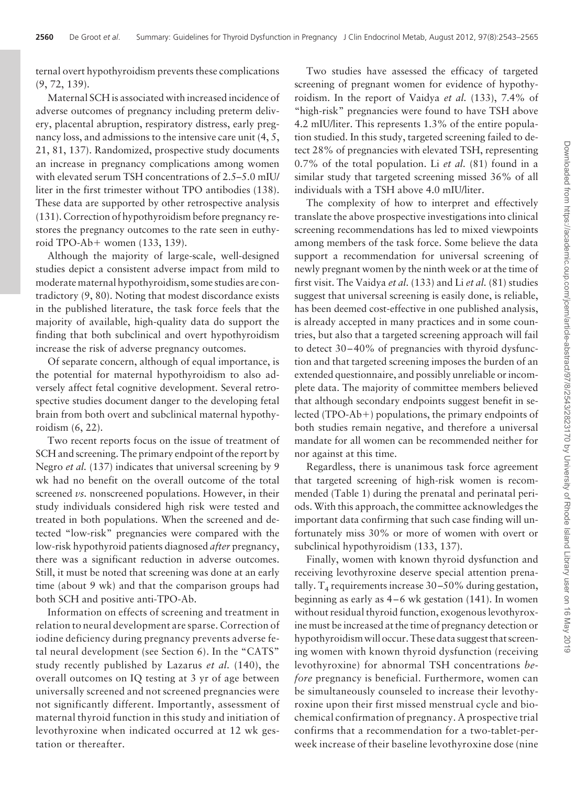ternal overt hypothyroidism prevents these complications (9, 72, 139).

Maternal SCH is associated with increased incidence of adverse outcomes of pregnancy including preterm delivery, placental abruption, respiratory distress, early pregnancy loss, and admissions to the intensive care unit (4, 5, 21, 81, 137). Randomized, prospective study documents an increase in pregnancy complications among women with elevated serum TSH concentrations of 2.5–5.0 mIU/ liter in the first trimester without TPO antibodies (138). These data are supported by other retrospective analysis (131). Correction of hypothyroidism before pregnancy restores the pregnancy outcomes to the rate seen in euthyroid TPO-Ab+ women (133, 139).

Although the majority of large-scale, well-designed studies depict a consistent adverse impact from mild to moderate maternal hypothyroidism, some studies are contradictory (9, 80). Noting that modest discordance exists in the published literature, the task force feels that the majority of available, high-quality data do support the finding that both subclinical and overt hypothyroidism increase the risk of adverse pregnancy outcomes.

Of separate concern, although of equal importance, is the potential for maternal hypothyroidism to also adversely affect fetal cognitive development. Several retrospective studies document danger to the developing fetal brain from both overt and subclinical maternal hypothyroidism (6, 22).

Two recent reports focus on the issue of treatment of SCH and screening. The primary endpoint of the report by Negro *et al.* (137) indicates that universal screening by 9 wk had no benefit on the overall outcome of the total screened *vs.* nonscreened populations. However, in their study individuals considered high risk were tested and treated in both populations. When the screened and detected "low-risk" pregnancies were compared with the low-risk hypothyroid patients diagnosed *after* pregnancy, there was a significant reduction in adverse outcomes. Still, it must be noted that screening was done at an early time (about 9 wk) and that the comparison groups had both SCH and positive anti-TPO-Ab.

Information on effects of screening and treatment in relation to neural development are sparse. Correction of iodine deficiency during pregnancy prevents adverse fetal neural development (see Section 6). In the "CATS" study recently published by Lazarus *et al.* (140), the overall outcomes on IQ testing at 3 yr of age between universally screened and not screened pregnancies were not significantly different. Importantly, assessment of maternal thyroid function in this study and initiation of levothyroxine when indicated occurred at 12 wk gestation or thereafter.

Two studies have assessed the efficacy of targeted screening of pregnant women for evidence of hypothyroidism. In the report of Vaidya *et al.* (133), 7.4% of "high-risk" pregnancies were found to have TSH above 4.2 mIU/liter. This represents 1.3% of the entire population studied. In this study, targeted screening failed to detect 28% of pregnancies with elevated TSH, representing 0.7% of the total population. Li *et al.* (81) found in a similar study that targeted screening missed 36% of all individuals with a TSH above 4.0 mIU/liter.

The complexity of how to interpret and effectively translate the above prospective investigations into clinical screening recommendations has led to mixed viewpoints among members of the task force. Some believe the data support a recommendation for universal screening of newly pregnant women by the ninth week or at the time of first visit. The Vaidya *et al.* (133) and Li *et al.* (81) studies suggest that universal screening is easily done, is reliable, has been deemed cost-effective in one published analysis, is already accepted in many practices and in some countries, but also that a targeted screening approach will fail to detect 30–40% of pregnancies with thyroid dysfunction and that targeted screening imposes the burden of an extended questionnaire, and possibly unreliable or incomplete data. The majority of committee members believed that although secondary endpoints suggest benefit in selected (TPO-Ab-) populations, the primary endpoints of both studies remain negative, and therefore a universal mandate for all women can be recommended neither for nor against at this time.

Regardless, there is unanimous task force agreement that targeted screening of high-risk women is recommended (Table 1) during the prenatal and perinatal periods. With this approach, the committee acknowledges the important data confirming that such case finding will unfortunately miss 30% or more of women with overt or subclinical hypothyroidism (133, 137).

Finally, women with known thyroid dysfunction and receiving levothyroxine deserve special attention prenatally.  $T_4$  requirements increase 30–50% during gestation, beginning as early as  $4-6$  wk gestation (141). In women without residual thyroid function, exogenous levothyroxine must be increased at the time of pregnancy detection or hypothyroidism will occur. These data suggest that screening women with known thyroid dysfunction (receiving levothyroxine) for abnormal TSH concentrations *before* pregnancy is beneficial. Furthermore, women can be simultaneously counseled to increase their levothyroxine upon their first missed menstrual cycle and biochemical confirmation of pregnancy. A prospective trial confirms that a recommendation for a two-tablet-perweek increase of their baseline levothyroxine dose (nine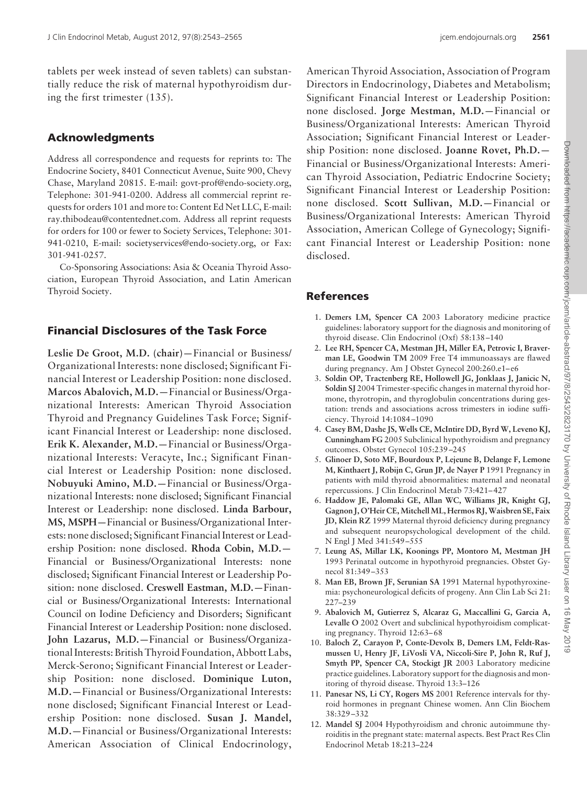tablets per week instead of seven tablets) can substantially reduce the risk of maternal hypothyroidism during the first trimester (135).

## **Acknowledgments**

Address all correspondence and requests for reprints to: The Endocrine Society, 8401 Connecticut Avenue, Suite 900, Chevy Chase, Maryland 20815. E-mail: govt-prof@endo-society.org, Telephone: 301-941-0200. Address all commercial reprint requests for orders 101 and more to: Content Ed Net LLC, E-mail: ray.thibodeau@contentednet.com. Address all reprint requests for orders for 100 or fewer to Society Services, Telephone: 301- 941-0210, E-mail: societyservices@endo-society.org, or Fax: 301-941-0257.

Co-Sponsoring Associations: Asia & Oceania Thyroid Association, European Thyroid Association, and Latin American Thyroid Society.

## **Financial Disclosures of the Task Force**

**Leslie De Groot, M.D. (chair)**—Financial or Business/ Organizational Interests: none disclosed; Significant Financial Interest or Leadership Position: none disclosed. **Marcos Abalovich, M.D.**—Financial or Business/Organizational Interests: American Thyroid Association Thyroid and Pregnancy Guidelines Task Force; Significant Financial Interest or Leadership: none disclosed. **Erik K. Alexander, M.D.**—Financial or Business/Organizational Interests: Veracyte, Inc.; Significant Financial Interest or Leadership Position: none disclosed. **Nobuyuki Amino, M.D.**—Financial or Business/Organizational Interests: none disclosed; Significant Financial Interest or Leadership: none disclosed. **Linda Barbour, MS, MSPH**—Financial or Business/Organizational Interests: none disclosed; Significant Financial Interest or Leadership Position: none disclosed. **Rhoda Cobin, M.D.**— Financial or Business/Organizational Interests: none disclosed; Significant Financial Interest or Leadership Position: none disclosed. **Creswell Eastman, M.D.**—Financial or Business/Organizational Interests: International Council on Iodine Deficiency and Disorders; Significant Financial Interest or Leadership Position: none disclosed. **John Lazarus, M.D.**—Financial or Business/Organizational Interests: British Thyroid Foundation, Abbott Labs, Merck-Serono; Significant Financial Interest or Leadership Position: none disclosed. **Dominique Luton, M.D.**—Financial or Business/Organizational Interests: none disclosed; Significant Financial Interest or Leadership Position: none disclosed. **Susan J. Mandel, M.D.**—Financial or Business/Organizational Interests: American Association of Clinical Endocrinology,

Directors in Endocrinology, Diabetes and Metabolism; Significant Financial Interest or Leadership Position: none disclosed. **Jorge Mestman, M.D.**—Financial or Business/Organizational Interests: American Thyroid Association; Significant Financial Interest or Leadership Position: none disclosed. **Joanne Rovet, Ph.D.**— Financial or Business/Organizational Interests: American Thyroid Association, Pediatric Endocrine Society; Significant Financial Interest or Leadership Position: none disclosed. **Scott Sullivan, M.D.**—Financial or Business/Organizational Interests: American Thyroid Association, American College of Gynecology; Significant Financial Interest or Leadership Position: none disclosed.

# **References**

- 1. **Demers LM, Spencer CA** 2003 Laboratory medicine practice guidelines: laboratory support for the diagnosis and monitoring of thyroid disease. Clin Endocrinol (Oxf) 58:138 –140
- 2. **Lee RH, Spencer CA, Mestman JH, Miller EA, Petrovic I, Braverman LE, Goodwin TM** 2009 Free T4 immunoassays are flawed during pregnancy. Am J Obstet Gynecol 200:260.e1-e6
- 3. **Soldin OP, Tractenberg RE, Hollowell JG, Jonklaas J, Janicic N, Soldin SJ** 2004 Trimester-specific changes in maternal thyroid hormone, thyrotropin, and thyroglobulin concentrations during gestation: trends and associations across trimesters in iodine sufficiency. Thyroid 14:1084 –1090
- 4. **Casey BM, Dashe JS, Wells CE, McIntire DD, Byrd W, Leveno KJ, Cunningham FG** 2005 Subclinical hypothyroidism and pregnancy outcomes. Obstet Gynecol 105:239 –245
- 5. **Glinoer D, Soto MF, Bourdoux P, Lejeune B, Delange F, Lemone M, Kinthaert J, Robijn C, Grun JP, de Nayer P** 1991 Pregnancy in patients with mild thyroid abnormalities: maternal and neonatal repercussions. J Clin Endocrinol Metab 73:421– 427
- 6. **Haddow JE, Palomaki GE, Allan WC, Williams JR, Knight GJ, Gagnon J, O'Heir CE,MitchellML, Hermos RJ,Waisbren SE, Faix JD, Klein RZ** 1999 Maternal thyroid deficiency during pregnancy and subsequent neuropsychological development of the child. N Engl J Med 341:549 –555
- 7. **Leung AS, Millar LK, Koonings PP, Montoro M, Mestman JH** 1993 Perinatal outcome in hypothyroid pregnancies. Obstet Gynecol 81:349 –353
- 8. **Man EB, Brown JF, Serunian SA** 1991 Maternal hypothyroxinemia: psychoneurological deficits of progeny. Ann Clin Lab Sci 21: 227–239
- 9. **Abalovich M, Gutierrez S, Alcaraz G, Maccallini G, Garcia A, Levalle O** 2002 Overt and subclinical hypothyroidism complicating pregnancy. Thyroid 12:63– 68
- 10. **Baloch Z, Carayon P, Conte-Devolx B, Demers LM, Feldt-Rasmussen U, Henry JF, LiVosli VA, Niccoli-Sire P, John R, Ruf J, Smyth PP, Spencer CA, Stockigt JR** 2003 Laboratory medicine practice guidelines. Laboratory support for the diagnosis and monitoring of thyroid disease. Thyroid 13:3–126
- 11. **Panesar NS, Li CY, Rogers MS** 2001 Reference intervals for thyroid hormones in pregnant Chinese women. Ann Clin Biochem 38:329 –332
- 12. **Mandel SJ** 2004 Hypothyroidism and chronic autoimmune thyroiditis in the pregnant state: maternal aspects. Best Pract Res Clin Endocrinol Metab 18:213–224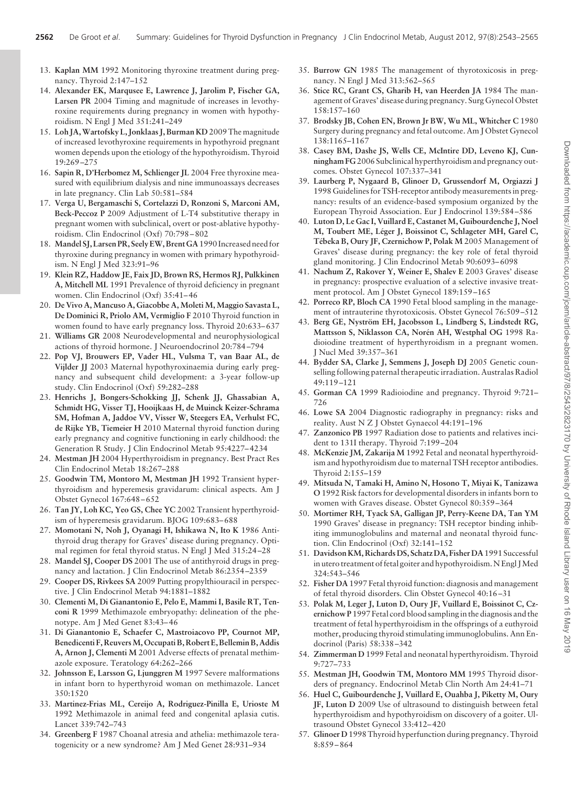- 13. **Kaplan MM** 1992 Monitoring thyroxine treatment during pregnancy. Thyroid 2:147–152
- 14. **Alexander EK, Marqusee E, Lawrence J, Jarolim P, Fischer GA, Larsen PR** 2004 Timing and magnitude of increases in levothyroxine requirements during pregnancy in women with hypothyroidism. N Engl J Med 351:241–249
- 15. **Loh JA,Wartofsky L, Jonklaas J, Burman KD** 2009 The magnitude of increased levothyroxine requirements in hypothyroid pregnant women depends upon the etiology of the hypothyroidism. Thyroid 19:269 –275
- 16. **Sapin R, D'Herbomez M, Schlienger JL** 2004 Free thyroxine measured with equilibrium dialysis and nine immunoassays decreases in late pregnancy. Clin Lab 50:581–584
- 17. **Verga U, Bergamaschi S, Cortelazzi D, Ronzoni S, Marconi AM, Beck-Peccoz P** 2009 Adjustment of L-T4 substitutive therapy in pregnant women with subclinical, overt or post-ablative hypothyroidism. Clin Endocrinol (Oxf) 70:798 – 802
- 18. **Mandel SJ, Larsen PR, Seely EW, Brent GA**1990 Increased need for thyroxine during pregnancy in women with primary hypothyroidism. N Engl J Med 323:91–96
- 19. **Klein RZ, Haddow JE, Faix JD, Brown RS, Hermos RJ, Pulkkinen A, Mitchell ML** 1991 Prevalence of thyroid deficiency in pregnant women. Clin Endocrinol (Oxf) 35:41– 46
- 20. **De Vivo A, Mancuso A, Giacobbe A, Moleti M, Maggio Savasta L, De Dominici R, Priolo AM, Vermiglio F** 2010 Thyroid function in women found to have early pregnancy loss. Thyroid 20:633-637
- 21. **Williams GR** 2008 Neurodevelopmental and neurophysiological actions of thyroid hormone. J Neuroendocrinol 20:784 –794
- 22. **Pop VJ, Brouwers EP, Vader HL, Vulsma T, van Baar AL, de Vijlder JJ** 2003 Maternal hypothyroxinaemia during early pregnancy and subsequent child development: a 3-year follow-up study. Clin Endocrinol (Oxf) 59:282–288
- 23. **Henrichs J, Bongers-Schokking JJ, Schenk JJ, Ghassabian A, Schmidt HG, Visser TJ, Hooijkaas H, de Muinck Keizer-Schrama SM, Hofman A, Jaddoe VV, Visser W, Steegers EA, Verhulst FC, de Rijke YB, Tiemeier H** 2010 Maternal thyroid function during early pregnancy and cognitive functioning in early childhood: the Generation R Study. J Clin Endocrinol Metab 95:4227– 4234
- 24. **Mestman JH** 2004 Hyperthyroidism in pregnancy. Best Pract Res Clin Endocrinol Metab 18:267–288
- 25. **Goodwin TM, Montoro M, Mestman JH** 1992 Transient hyperthyroidism and hyperemesis gravidarum: clinical aspects. Am J Obstet Gynecol 167:648 – 652
- 26. **Tan JY, Loh KC, Yeo GS, Chee YC** 2002 Transient hyperthyroidism of hyperemesis gravidarum. BJOG 109:683– 688
- 27. **Momotani N, Noh J, Oyanagi H, Ishikawa N, Ito K** 1986 Antithyroid drug therapy for Graves' disease during pregnancy. Optimal regimen for fetal thyroid status. N Engl J Med 315:24 –28
- 28. **Mandel SJ, Cooper DS** 2001 The use of antithyroid drugs in pregnancy and lactation. J Clin Endocrinol Metab 86:2354 –2359
- 29. **Cooper DS, Rivkees SA** 2009 Putting propylthiouracil in perspective. J Clin Endocrinol Metab 94:1881–1882
- 30. **Clementi M, Di Gianantonio E, Pelo E, Mammi I, Basile RT, Tenconi R** 1999 Methimazole embryopathy: delineation of the phenotype. Am J Med Genet 83:43– 46
- 31. **Di Gianantonio E, Schaefer C, Mastroiacovo PP, Cournot MP, Benedicenti F, ReuversM, Occupati B, Robert E, Bellemin B, Addis A, Arnon J, Clementi M** 2001 Adverse effects of prenatal methimazole exposure. Teratology 64:262–266
- 32. **Johnsson E, Larsson G, Ljunggren M** 1997 Severe malformations in infant born to hyperthyroid woman on methimazole. Lancet 350:1520
- 33. **Martinez-Frias ML, Cereijo A, Rodriguez-Pinilla E, Urioste M** 1992 Methimazole in animal feed and congenital aplasia cutis. Lancet 339:742–743
- 34. **Greenberg F** 1987 Choanal atresia and athelia: methimazole teratogenicity or a new syndrome? Am J Med Genet 28:931–934
- 35. **Burrow GN** 1985 The management of thyrotoxicosis in pregnancy. N Engl J Med 313:562–565
- 36. **Stice RC, Grant CS, Gharib H, van Heerden JA** 1984 The management of Graves' disease during pregnancy. Surg Gynecol Obstet 158:157–160
- 37. **Brodsky JB, Cohen EN, Brown Jr BW, Wu ML, Whitcher C** 1980 Surgery during pregnancy and fetal outcome. Am J Obstet Gynecol 138:1165–1167
- 38. **Casey BM, Dashe JS, Wells CE, McIntire DD, Leveno KJ, Cunningham FG**2006 Subclinical hyperthyroidism and pregnancy outcomes. Obstet Gynecol 107:337–341
- 39. **Laurberg P, Nygaard B, Glinoer D, Grussendorf M, Orgiazzi J** 1998 Guidelines for TSH-receptor antibody measurements in pregnancy: results of an evidence-based symposium organized by the European Thyroid Association. Eur J Endocrinol 139:584 –586
- 40. **Luton D, Le Gac I, Vuillard E, Castanet M, Guibourdenche J, Noel M, Toubert ME, Le´ger J, Boissinot C, Schlageter MH, Garel C,** Tébeka B, Oury JF, Czernichow P, Polak M 2005 Management of Graves' disease during pregnancy: the key role of fetal thyroid gland monitoring. J Clin Endocrinol Metab 90:6093– 6098
- 41. **Nachum Z, Rakover Y, Weiner E, Shalev E** 2003 Graves' disease in pregnancy: prospective evaluation of a selective invasive treatment protocol. Am J Obstet Gynecol 189:159 –165
- 42. **Porreco RP, Bloch CA** 1990 Fetal blood sampling in the management of intrauterine thyrotoxicosis. Obstet Gynecol 76:509 –512
- 43. Berg GE, Nyström EH, Jacobsson L, Lindberg S, Lindstedt RG, Mattsson S, Niklasson CA, Norén AH, Westphal OG 1998 Radioiodine treatment of hyperthyroidism in a pregnant women. J Nucl Med 39:357–361
- 44. **Bydder SA, Clarke J, Semmens J, Joseph DJ** 2005 Genetic counselling following paternal therapeutic irradiation. Australas Radiol 49:119 –121
- 45. **Gorman CA** 1999 Radioiodine and pregnancy. Thyroid 9:721– 726
- 46. **Lowe SA** 2004 Diagnostic radiography in pregnancy: risks and reality. Aust N Z J Obstet Gynaecol 44:191-196
- 47. **Zanzonico PB** 1997 Radiation dose to patients and relatives incident to 131I therapy. Thyroid 7:199 –204
- 48. **McKenzie JM, Zakarija M** 1992 Fetal and neonatal hyperthyroidism and hypothyroidism due to maternal TSH receptor antibodies. Thyroid 2:155–159
- 49. **Mitsuda N, Tamaki H, Amino N, Hosono T, Miyai K, Tanizawa O** 1992 Risk factors for developmental disorders in infants born to women with Graves disease. Obstet Gynecol 80:359 –364
- 50. **Mortimer RH, Tyack SA, Galligan JP, Perry-Keene DA, Tan YM** 1990 Graves' disease in pregnancy: TSH receptor binding inhibiting immunoglobulins and maternal and neonatal thyroid function. Clin Endocrinol (Oxf) 32:141–152
- 51. **Davidson KM, Richards DS, Schatz DA, Fisher DA**1991 Successful in utero treatment of fetal goiter and hypothyroidism. N Engl JMed 324:543–546
- 52. **Fisher DA** 1997 Fetal thyroid function: diagnosis and management of fetal thyroid disorders. Clin Obstet Gynecol 40:16 –31
- 53. **Polak M, Leger J, Luton D, Oury JF, Vuillard E, Boissinot C, Czernichow P** 1997 Fetal cord blood sampling in the diagnosis and the treatment of fetal hyperthyroidism in the offsprings of a euthyroid mother, producing thyroid stimulating immunoglobulins. Ann Endocrinol (Paris) 58:338 –342
- 54. **Zimmerman D** 1999 Fetal and neonatal hyperthyroidism. Thyroid 9:727–733
- 55. **Mestman JH, Goodwin TM, Montoro MM** 1995 Thyroid disorders of pregnancy. Endocrinol Metab Clin North Am 24:41–71
- 56. **Huel C, Guibourdenche J, Vuillard E, Ouahba J, Piketty M, Oury JF, Luton D** 2009 Use of ultrasound to distinguish between fetal hyperthyroidism and hypothyroidism on discovery of a goiter. Ultrasound Obstet Gynecol 33:412– 420
- 57. **Glinoer D** 1998 Thyroid hyperfunction during pregnancy. Thyroid 8:859 – 864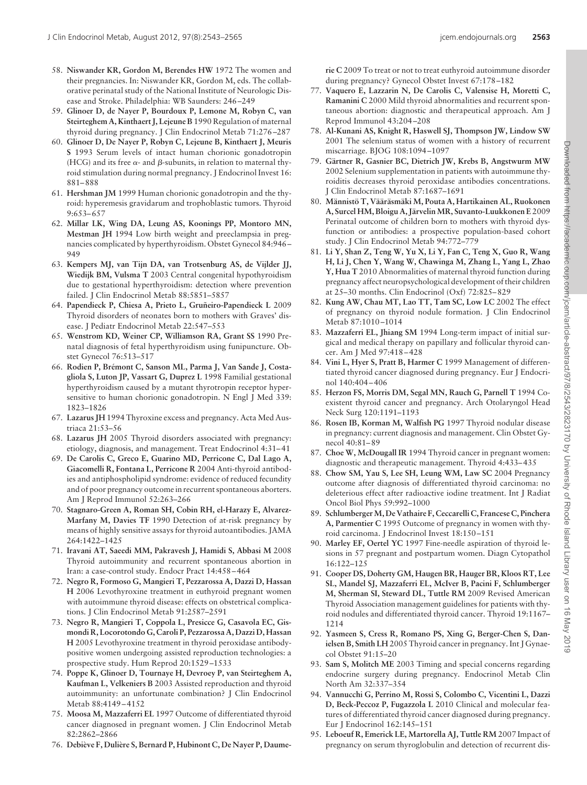- 58. **Niswander KR, Gordon M, Berendes HW** 1972 The women and their pregnancies. In: Niswander KR, Gordon M, eds. The collaborative perinatal study of the National Institute of Neurologic Disease and Stroke. Philadelphia: WB Saunders: 246 –249
- 59. **Glinoer D, de Nayer P, Bourdoux P, Lemone M, Robyn C, van Steirteghem A, Kinthaert J, Lejeune B**1990 Regulation of maternal thyroid during pregnancy. J Clin Endocrinol Metab 71:276 –287
- 60. **Glinoer D, De Nayer P, Robyn C, Lejeune B, Kinthaert J, Meuris S** 1993 Serum levels of intact human chorionic gonadotropin (HCG) and its free  $\alpha$ - and  $\beta$ -subunits, in relation to maternal thyroid stimulation during normal pregnancy. J Endocrinol Invest 16: 881– 888
- 61. **Hershman JM** 1999 Human chorionic gonadotropin and the thyroid: hyperemesis gravidarum and trophoblastic tumors. Thyroid 9:653– 657
- 62. **Millar LK, Wing DA, Leung AS, Koonings PP, Montoro MN, Mestman JH** 1994 Low birth weight and preeclampsia in pregnancies complicated by hyperthyroidism. Obstet Gynecol 84:946 – 949
- 63. **Kempers MJ, van Tijn DA, van Trotsenburg AS, de Vijlder JJ, Wiedijk BM, Vulsma T** 2003 Central congenital hypothyroidism due to gestational hyperthyroidism: detection where prevention failed. J Clin Endocrinol Metab 88:5851–5857
- 64. **Papendieck P, Chiesa A, Prieto L, Grun˜ eiro-Papendieck L** 2009 Thyroid disorders of neonates born to mothers with Graves' disease. J Pediatr Endocrinol Metab 22:547–553
- 65. **Wenstrom KD, Weiner CP, Williamson RA, Grant SS** 1990 Prenatal diagnosis of fetal hyperthyroidism using funipuncture. Obstet Gynecol 76:513–517
- 66. Rodien P, Brémont C, Sanson ML, Parma J, Van Sande J, Costa**gliola S, Luton JP, Vassart G, Duprez L** 1998 Familial gestational hyperthyroidism caused by a mutant thyrotropin receptor hypersensitive to human chorionic gonadotropin. N Engl J Med 339: 1823–1826
- 67. **Lazarus JH** 1994 Thyroxine excess and pregnancy. Acta Med Austriaca 21:53–56
- 68. **Lazarus JH** 2005 Thyroid disorders associated with pregnancy: etiology, diagnosis, and management. Treat Endocrinol 4:31– 41
- 69. **De Carolis C, Greco E, Guarino MD, Perricone C, Dal Lago A, Giacomelli R, Fontana L, Perricone R** 2004 Anti-thyroid antibodies and antiphospholipid syndrome: evidence of reduced fecundity and of poor pregnancy outcome in recurrent spontaneous aborters. Am J Reprod Immunol 52:263–266
- 70. **Stagnaro-Green A, Roman SH, Cobin RH, el-Harazy E, Alvarez-Marfany M, Davies TF** 1990 Detection of at-risk pregnancy by means of highly sensitive assays for thyroid autoantibodies. JAMA 264:1422–1425
- 71. **Iravani AT, Saeedi MM, Pakravesh J, Hamidi S, Abbasi M** 2008 Thyroid autoimmunity and recurrent spontaneous abortion in Iran: a case-control study. Endocr Pract 14:458 – 464
- 72. **Negro R, Formoso G, Mangieri T, Pezzarossa A, Dazzi D, Hassan H** 2006 Levothyroxine treatment in euthyroid pregnant women with autoimmune thyroid disease: effects on obstetrical complications. J Clin Endocrinol Metab 91:2587–2591
- 73. **Negro R, Mangieri T, Coppola L, Presicce G, Casavola EC, Gismondi R, Locorotondo G, Caroli P, Pezzarossa A, Dazzi D, Hassan H** 2005 Levothyroxine treatment in thyroid peroxidase antibodypositive women undergoing assisted reproduction technologies: a prospective study. Hum Reprod 20:1529 –1533
- 74. **Poppe K, Glinoer D, Tournaye H, Devroey P, van Steirteghem A, Kaufman L, Velkeniers B** 2003 Assisted reproduction and thyroid autoimmunity: an unfortunate combination? J Clin Endocrinol Metab 88:4149 – 4152
- 75. **Moosa M, Mazzaferri EL** 1997 Outcome of differentiated thyroid cancer diagnosed in pregnant women. J Clin Endocrinol Metab 82:2862–2866
- 76. Debiève F, Dulière S, Bernard P, Hubinont C, De Nayer P, Daume-

**rie C** 2009 To treat or not to treat euthyroid autoimmune disorder during pregnancy? Gynecol Obstet Invest 67:178 –182

- 77. **Vaquero E, Lazzarin N, De Carolis C, Valensise H, Moretti C, Ramanini C** 2000 Mild thyroid abnormalities and recurrent spontaneous abortion: diagnostic and therapeutical approach. Am J Reprod Immunol 43:204 –208
- 78. **Al-Kunani AS, Knight R, Haswell SJ, Thompson JW, Lindow SW** 2001 The selenium status of women with a history of recurrent miscarriage. BJOG 108:1094 –1097
- 79. Gärtner R, Gasnier BC, Dietrich JW, Krebs B, Angstwurm MW 2002 Selenium supplementation in patients with autoimmune thyroiditis decreases thyroid peroxidase antibodies concentrations. J Clin Endocrinol Metab 87:1687–1691
- 80. Männistö T, Vääräsmäki M, Pouta A, Hartikainen AL, Ruokonen **A, Surcel HM, Bloigu A, Ja¨ rvelinMR, Suvanto-Luukkonen E** 2009 Perinatal outcome of children born to mothers with thyroid dysfunction or antibodies: a prospective population-based cohort study. J Clin Endocrinol Metab 94:772–779
- 81. **Li Y, Shan Z, Teng W, Yu X, Li Y, Fan C, Teng X, Guo R, Wang H, Li J, Chen Y, Wang W, Chawinga M, Zhang L, Yang L, Zhao Y, Hua T** 2010 Abnormalities of maternal thyroid function during pregnancy affect neuropsychological development of their children at 25–30 months. Clin Endocrinol (Oxf) 72:825– 829
- 82. **Kung AW, Chau MT, Lao TT, Tam SC, Low LC** 2002 The effect of pregnancy on thyroid nodule formation. J Clin Endocrinol Metab 87:1010 –1014
- 83. **Mazzaferri EL, Jhiang SM** 1994 Long-term impact of initial surgical and medical therapy on papillary and follicular thyroid cancer. Am J Med 97:418 – 428
- 84. **Vini L, Hyer S, Pratt B, Harmer C** 1999 Management of differentiated thyroid cancer diagnosed during pregnancy. Eur J Endocrinol 140:404 – 406
- 85. **Herzon FS, Morris DM, Segal MN, Rauch G, Parnell T** 1994 Coexistent thyroid cancer and pregnancy. Arch Otolaryngol Head Neck Surg 120:1191–1193
- 86. **Rosen IB, Korman M, Walfish PG** 1997 Thyroid nodular disease in pregnancy: current diagnosis and management. Clin Obstet Gynecol 40:81– 89
- 87. **Choe W, McDougall IR** 1994 Thyroid cancer in pregnant women: diagnostic and therapeutic management. Thyroid 4:433– 435
- 88. **Chow SM, Yau S, Lee SH, Leung WM, Law SC** 2004 Pregnancy outcome after diagnosis of differentiated thyroid carcinoma: no deleterious effect after radioactive iodine treatment. Int J Radiat Oncol Biol Phys 59:992–1000
- 89. **SchlumbergerM, De Vathaire F, Ceccarelli C, Francese C, Pinchera A, Parmentier C** 1995 Outcome of pregnancy in women with thyroid carcinoma. J Endocrinol Invest 18:150 –151
- 90. **Marley EF, Oertel YC** 1997 Fine-needle aspiration of thyroid lesions in 57 pregnant and postpartum women. Diagn Cytopathol 16:122–125
- 91. **Cooper DS, Doherty GM, Haugen BR, Hauger BR, Kloos RT, Lee SL, Mandel SJ, Mazzaferri EL, McIver B, Pacini F, Schlumberger M, Sherman SI, Steward DL, Tuttle RM** 2009 Revised American Thyroid Association management guidelines for patients with thyroid nodules and differentiated thyroid cancer. Thyroid 19:1167– 1214
- 92. **Yasmeen S, Cress R, Romano PS, Xing G, Berger-Chen S, Danielsen B, Smith LH** 2005 Thyroid cancer in pregnancy. Int J Gynaecol Obstet 91:15–20
- 93. **Sam S, Molitch ME** 2003 Timing and special concerns regarding endocrine surgery during pregnancy. Endocrinol Metab Clin North Am 32:337–354
- 94. **Vannucchi G, Perrino M, Rossi S, Colombo C, Vicentini L, Dazzi D, Beck-Peccoz P, Fugazzola L** 2010 Clinical and molecular features of differentiated thyroid cancer diagnosed during pregnancy. Eur J Endocrinol 162:145–151
- 95. **Leboeuf R, Emerick LE, Martorella AJ, Tuttle RM** 2007 Impact of pregnancy on serum thyroglobulin and detection of recurrent dis-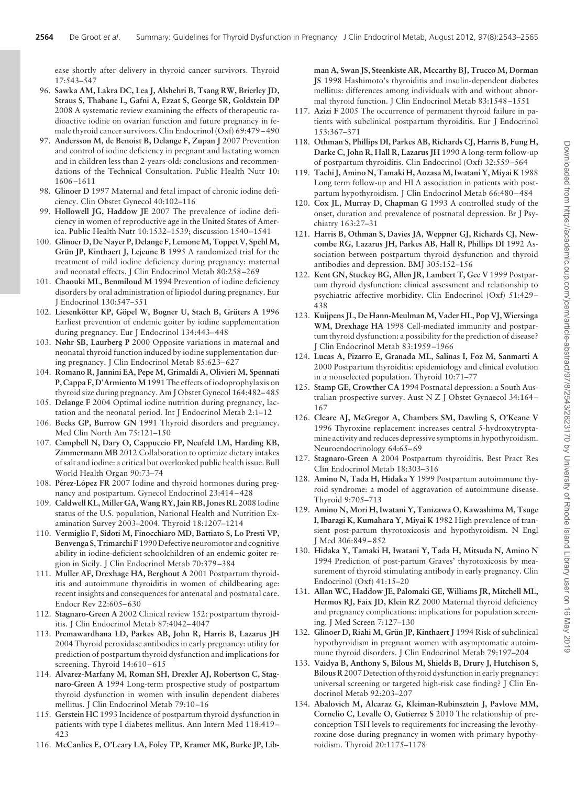ease shortly after delivery in thyroid cancer survivors. Thyroid 17:543–547

- 96. **Sawka AM, Lakra DC, Lea J, Alshehri B, Tsang RW, Brierley JD, Straus S, Thabane L, Gafni A, Ezzat S, George SR, Goldstein DP** 2008 A systematic review examining the effects of therapeutic radioactive iodine on ovarian function and future pregnancy in female thyroid cancer survivors. Clin Endocrinol (Oxf) 69:479 – 490
- 97. **Andersson M, de Benoist B, Delange F, Zupan J** 2007 Prevention and control of iodine deficiency in pregnant and lactating women and in children less than 2-years-old: conclusions and recommendations of the Technical Consultation. Public Health Nutr 10: 1606 –1611
- 98. **Glinoer D** 1997 Maternal and fetal impact of chronic iodine deficiency. Clin Obstet Gynecol 40:102–116
- 99. **Hollowell JG, Haddow JE** 2007 The prevalence of iodine deficiency in women of reproductive age in the United States of America. Public Health Nutr 10:1532–1539; discussion 1540 –1541
- 100. **Glinoer D, De Nayer P, Delange F, Lemone M, Toppet V, Spehl M,** Grün JP, Kinthaert J, Lejeune B 1995 A randomized trial for the treatment of mild iodine deficiency during pregnancy: maternal and neonatal effects. J Clin Endocrinol Metab 80:258 –269
- 101. **Chaouki ML, Benmiloud M** 1994 Prevention of iodine deficiency disorders by oral administration of lipiodol during pregnancy. Eur J Endocrinol 130:547–551
- 102. Liesenkötter KP, Göpel W, Bogner U, Stach B, Grüters A 1996 Earliest prevention of endemic goiter by iodine supplementation during pregnancy. Eur J Endocrinol 134:443– 448
- 103. **Nøhr SB, Laurberg P** 2000 Opposite variations in maternal and neonatal thyroid function induced by iodine supplementation during pregnancy. J Clin Endocrinol Metab 85:623– 627
- 104. **Romano R, Jannini EA, Pepe M, Grimaldi A, Olivieri M, Spennati** P, Cappa F, D'Armiento M 1991 The effects of iodoprophylaxis on thyroid size during pregnancy. Am J Obstet Gynecol 164:482– 485
- 105. **Delange F** 2004 Optimal iodine nutrition during pregnancy, lactation and the neonatal period. Int J Endocrinol Metab 2:1–12
- 106. **Becks GP, Burrow GN** 1991 Thyroid disorders and pregnancy. Med Clin North Am 75:121–150
- 107. **Campbell N, Dary O, Cappuccio FP, Neufeld LM, Harding KB, Zimmermann MB** 2012 Collaboration to optimize dietary intakes of salt and iodine: a critical but overlooked public health issue. Bull World Health Organ 90:73–74
- 108. Pérez-López FR 2007 Iodine and thyroid hormones during pregnancy and postpartum. Gynecol Endocrinol 23:414 – 428
- 109. **Caldwell KL,Miller GA,Wang RY, Jain RB, Jones RL** 2008 Iodine status of the U.S. population, National Health and Nutrition Examination Survey 2003–2004. Thyroid 18:1207–1214
- 110. **Vermiglio F, Sidoti M, Finocchiaro MD, Battiato S, Lo Presti VP, Benvenga S, Trimarchi F** 1990 Defective neuromotor and cognitive ability in iodine-deficient schoolchildren of an endemic goiter region in Sicily. J Clin Endocrinol Metab 70:379 –384
- 111. **Muller AF, Drexhage HA, Berghout A** 2001 Postpartum thyroiditis and autoimmune thyroiditis in women of childbearing age: recent insights and consequences for antenatal and postnatal care. Endocr Rev 22:605– 630
- 112. **Stagnaro-Green A** 2002 Clinical review 152: postpartum thyroiditis. J Clin Endocrinol Metab 87:4042– 4047
- 113. **Premawardhana LD, Parkes AB, John R, Harris B, Lazarus JH** 2004 Thyroid peroxidase antibodies in early pregnancy: utility for prediction of postpartum thyroid dysfunction and implications for screening. Thyroid 14:610-615
- 114. **Alvarez-Marfany M, Roman SH, Drexler AJ, Robertson C, Stagnaro-Green A** 1994 Long-term prospective study of postpartum thyroid dysfunction in women with insulin dependent diabetes mellitus. J Clin Endocrinol Metab 79:10 –16
- 115. **Gerstein HC** 1993 Incidence of postpartum thyroid dysfunction in patients with type I diabetes mellitus. Ann Intern Med 118:419 – 423
- 116. **McCanlies E, O'Leary LA, Foley TP, Kramer MK, Burke JP, Lib-**

**man A, Swan JS, Steenkiste AR, Mccarthy BJ, Trucco M, Dorman JS** 1998 Hashimoto's thyroiditis and insulin-dependent diabetes mellitus: differences among individuals with and without abnormal thyroid function. J Clin Endocrinol Metab 83:1548 –1551

- 117. **Azizi F** 2005 The occurrence of permanent thyroid failure in patients with subclinical postpartum thyroiditis. Eur J Endocrinol 153:367–371
- 118. **Othman S, Phillips DI, Parkes AB, Richards CJ, Harris B, Fung H, Darke C, John R, Hall R, Lazarus JH** 1990 A long-term follow-up of postpartum thyroiditis. Clin Endocrinol (Oxf) 32:559 –564
- 119. **Tachi J, Amino N, Tamaki H, Aozasa M, Iwatani Y, Miyai K** 1988 Long term follow-up and HLA association in patients with postpartum hypothyroidism. J Clin Endocrinol Metab 66:480 – 484
- 120. **Cox JL, Murray D, Chapman G** 1993 A controlled study of the onset, duration and prevalence of postnatal depression. Br J Psychiatry 163:27–31
- 121. **Harris B, Othman S, Davies JA, Weppner GJ, Richards CJ, Newcombe RG, Lazarus JH, Parkes AB, Hall R, Phillips DI** 1992 Association between postpartum thyroid dysfunction and thyroid antibodies and depression. BMJ 305:152–156
- 122. **Kent GN, Stuckey BG, Allen JR, Lambert T, Gee V** 1999 Postpartum thyroid dysfunction: clinical assessment and relationship to psychiatric affective morbidity. Clin Endocrinol (Oxf) 51:429 – 438
- 123. **Kuijpens JL, De Hann-Meulman M, Vader HL, Pop VJ, Wiersinga WM, Drexhage HA** 1998 Cell-mediated immunity and postpartum thyroid dysfunction: a possibility for the prediction of disease? J Clin Endocrinol Metab 83:1959 –1966
- 124. **Lucas A, Pizarro E, Granada ML, Salinas I, Foz M, Sanmarti A** 2000 Postpartum thyroiditis: epidemiology and clinical evolution in a nonselected population. Thyroid 10:71–77
- 125. **Stamp GE, Crowther CA** 1994 Postnatal depression: a South Australian prospective survey. Aust N Z J Obstet Gynaecol 34:164 – 167
- 126. **Cleare AJ, McGregor A, Chambers SM, Dawling S, O'Keane V** 1996 Thyroxine replacement increases central 5-hydroxytryptamine activity and reduces depressive symptoms in hypothyroidism. Neuroendocrinology 64:65–69
- 127. **Stagnaro-Green A** 2004 Postpartum thyroiditis. Best Pract Res Clin Endocrinol Metab 18:303–316
- 128. **Amino N, Tada H, Hidaka Y** 1999 Postpartum autoimmune thyroid syndrome: a model of aggravation of autoimmune disease. Thyroid 9:705–713
- 129. **Amino N, Mori H, Iwatani Y, Tanizawa O, Kawashima M, Tsuge I, Ibaragi K, Kumahara Y, Miyai K** 1982 High prevalence of transient post-partum thyrotoxicosis and hypothyroidism. N Engl J Med 306:849 – 852
- 130. **Hidaka Y, Tamaki H, Iwatani Y, Tada H, Mitsuda N, Amino N** 1994 Prediction of post-partum Graves' thyrotoxicosis by measurement of thyroid stimulating antibody in early pregnancy. Clin Endocrinol (Oxf) 41:15–20
- 131. **Allan WC, Haddow JE, Palomaki GE, Williams JR, Mitchell ML, Hermos RJ, Faix JD, Klein RZ** 2000 Maternal thyroid deficiency and pregnancy complications: implications for population screening. J Med Screen 7:127–130
- 132. Glinoer D, Riahi M, Grün JP, Kinthaert J 1994 Risk of subclinical hypothyroidism in pregnant women with asymptomatic autoimmune thyroid disorders. J Clin Endocrinol Metab 79:197–204
- 133. **Vaidya B, Anthony S, Bilous M, Shields B, Drury J, Hutchison S, Bilous R** 2007 Detection of thyroid dysfunction in early pregnancy: universal screening or targeted high-risk case finding? J Clin Endocrinol Metab 92:203–207
- 134. **Abalovich M, Alcaraz G, Kleiman-Rubinsztein J, Pavlove MM, Cornelio C, Levalle O, Gutierrez S** 2010 The relationship of preconception TSH levels to requirements for increasing the levothyroxine dose during pregnancy in women with primary hypothyroidism. Thyroid 20:1175–1178